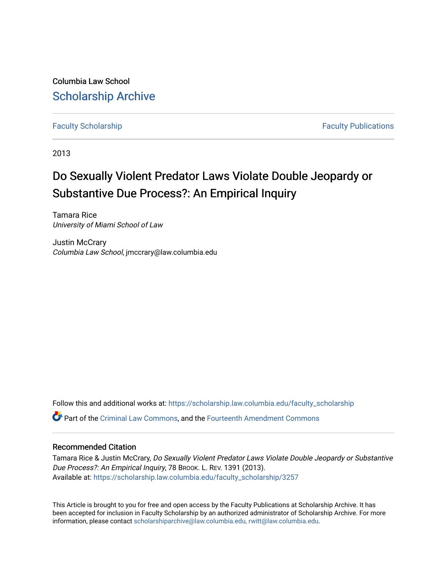Columbia Law School [Scholarship Archive](https://scholarship.law.columbia.edu/) 

[Faculty Scholarship](https://scholarship.law.columbia.edu/faculty_scholarship) **Faculty Scholarship Faculty Publications** 

2013

# Do Sexually Violent Predator Laws Violate Double Jeopardy or Substantive Due Process?: An Empirical Inquiry

Tamara Rice University of Miami School of Law

Justin McCrary Columbia Law School, jmccrary@law.columbia.edu

Follow this and additional works at: [https://scholarship.law.columbia.edu/faculty\\_scholarship](https://scholarship.law.columbia.edu/faculty_scholarship?utm_source=scholarship.law.columbia.edu%2Ffaculty_scholarship%2F3257&utm_medium=PDF&utm_campaign=PDFCoverPages)

Part of the [Criminal Law Commons,](http://network.bepress.com/hgg/discipline/912?utm_source=scholarship.law.columbia.edu%2Ffaculty_scholarship%2F3257&utm_medium=PDF&utm_campaign=PDFCoverPages) and the [Fourteenth Amendment Commons](http://network.bepress.com/hgg/discipline/1116?utm_source=scholarship.law.columbia.edu%2Ffaculty_scholarship%2F3257&utm_medium=PDF&utm_campaign=PDFCoverPages) 

## Recommended Citation

Tamara Rice & Justin McCrary, Do Sexually Violent Predator Laws Violate Double Jeopardy or Substantive Due Process?: An Empirical Inquiry, 78 BROOK. L. REV. 1391 (2013). Available at: [https://scholarship.law.columbia.edu/faculty\\_scholarship/3257](https://scholarship.law.columbia.edu/faculty_scholarship/3257?utm_source=scholarship.law.columbia.edu%2Ffaculty_scholarship%2F3257&utm_medium=PDF&utm_campaign=PDFCoverPages)

This Article is brought to you for free and open access by the Faculty Publications at Scholarship Archive. It has been accepted for inclusion in Faculty Scholarship by an authorized administrator of Scholarship Archive. For more information, please contact [scholarshiparchive@law.columbia.edu, rwitt@law.columbia.edu](mailto:scholarshiparchive@law.columbia.edu,%20rwitt@law.columbia.edu).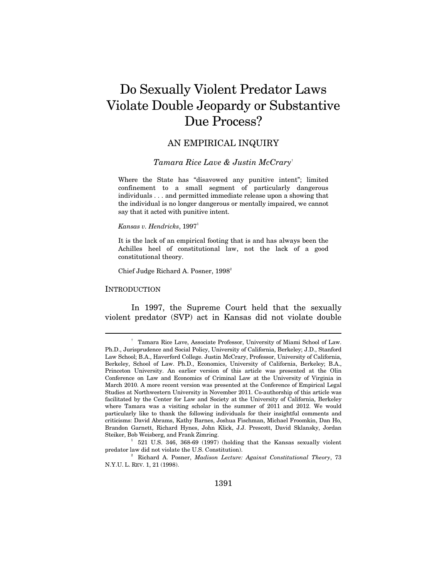# Do Sexually Violent Predator Laws Violate Double Jeopardy or Substantive Due Process?

# AN EMPIRICAL INQUIRY

## *Tamara Rice Lave & Justin McCrary*†

Where the State has "disavowed any punitive intent"; limited confinement to a small segment of particularly dangerous individuals . . . and permitted immediate release upon a showing that the individual is no longer dangerous or mentally impaired, we cannot say that it acted with punitive intent.

#### *Kansas v. Hendricks*, 1997<sup>1</sup>

It is the lack of an empirical footing that is and has always been the Achilles heel of constitutional law, not the lack of a good constitutional theory.

Chief Judge Richard A. Posner,  $1998^2$ 

#### **INTRODUCTION**

 $\overline{a}$ 

In 1997, the Supreme Court held that the sexually violent predator (SVP) act in Kansas did not violate double

 <sup>†</sup> Tamara Rice Lave, Associate Professor, University of Miami School of Law. Ph.D., Jurisprudence and Social Policy, University of California, Berkeley; J.D., Stanford Law School; B.A., Haverford College. Justin McCrary, Professor, University of California, Berkeley, School of Law. Ph.D., Economics, University of California, Berkeley; B.A., Princeton University. An earlier version of this article was presented at the Olin Conference on Law and Economics of Criminal Law at the University of Virginia in March 2010. A more recent version was presented at the Conference of Empirical Legal Studies at Northwestern University in November 2011. Co-authorship of this article was facilitated by the Center for Law and Society at the University of California, Berkeley where Tamara was a visiting scholar in the summer of 2011 and 2012. We would particularly like to thank the following individuals for their insightful comments and criticisms: David Abrams, Kathy Barnes, Joshua Fischman, Michael Froomkin, Dan Ho, Brandon Garnett, Richard Hynes, John Klick, J.J. Prescott, David Sklansky, Jordan Steiker, Bob Weisberg, and Frank Zimring.

 $1$  521 U.S. 346, 368-69 (1997) (holding that the Kansas sexually violent predator law did not violate the U.S. Constitution). 2

Richard A. Posner, *Madison Lecture: Against Constitutional Theory*, 73 N.Y.U. L. REV. 1, 21 (1998).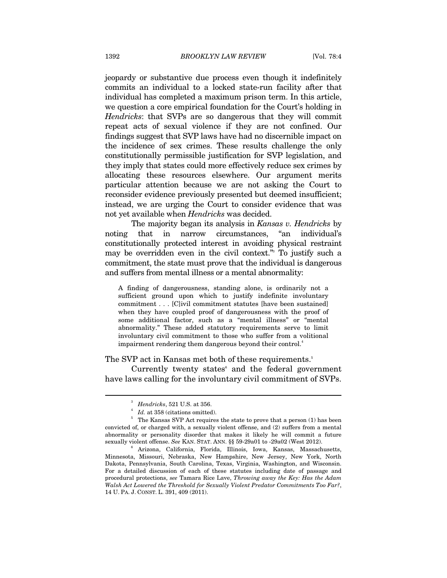jeopardy or substantive due process even though it indefinitely commits an individual to a locked state-run facility after that individual has completed a maximum prison term. In this article, we question a core empirical foundation for the Court's holding in *Hendricks*: that SVPs are so dangerous that they will commit repeat acts of sexual violence if they are not confined. Our findings suggest that SVP laws have had no discernible impact on the incidence of sex crimes. These results challenge the only constitutionally permissible justification for SVP legislation, and they imply that states could more effectively reduce sex crimes by allocating these resources elsewhere. Our argument merits particular attention because we are not asking the Court to reconsider evidence previously presented but deemed insufficient; instead, we are urging the Court to consider evidence that was not yet available when *Hendricks* was decided.

The majority began its analysis in *Kansas v. Hendricks* by noting that in narrow circumstances, "an individual's constitutionally protected interest in avoiding physical restraint may be overridden even in the civil context."3 To justify such a commitment, the state must prove that the individual is dangerous and suffers from mental illness or a mental abnormality:

A finding of dangerousness, standing alone, is ordinarily not a sufficient ground upon which to justify indefinite involuntary commitment . . . [C]ivil commitment statutes [have been sustained] when they have coupled proof of dangerousness with the proof of some additional factor, such as a "mental illness" or "mental abnormality." These added statutory requirements serve to limit involuntary civil commitment to those who suffer from a volitional impairment rendering them dangerous beyond their control.<sup>4</sup>

#### The SVP act in Kansas met both of these requirements.<sup>5</sup>

Currently twenty states and the federal government have laws calling for the involuntary civil commitment of SVPs.

<sup>3</sup> *Hendricks*, 521 U.S. at 356.<br>*Id.* at 358 (citations omitted).

 $^{\circ}$  *Id.* at 358 (citations omitted).<br> $^{\circ}$  The Kansas SVP Act requires the state to prove that a person (1) has been convicted of, or charged with, a sexually violent offense, and (2) suffers from a mental abnormality or personality disorder that makes it likely he will commit a future sexually violent offense. *See* KAN. STAT. ANN. §§ 59-29a01 to -29a02 (West 2012). 6

Arizona, California, Florida, Illinois, Iowa, Kansas, Massachusetts, Minnesota, Missouri, Nebraska, New Hampshire, New Jersey, New York, North Dakota, Pennsylvania, South Carolina, Texas, Virginia, Washington, and Wisconsin. For a detailed discussion of each of these statutes including date of passage and procedural protections, *see* Tamara Rice Lave, *Throwing away the Key: Has the Adam Walsh Act Lowered the Threshold for Sexually Violent Predator Commitments Too Far?*, 14 U. PA. J. CONST. L. 391, 409 (2011).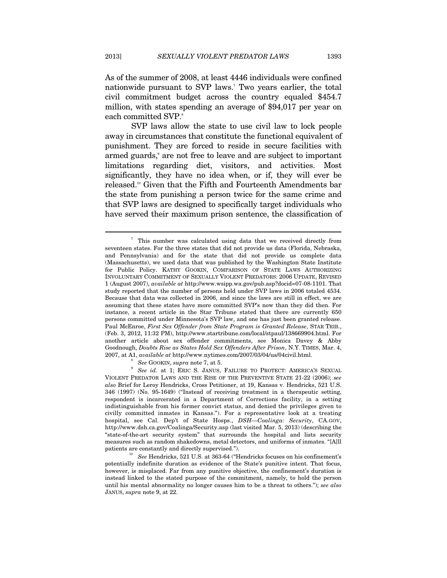As of the summer of 2008, at least 4446 individuals were confined nationwide pursuant to SVP laws.7 Two years earlier, the total civil commitment budget across the country equaled \$454.7 million, with states spending an average of \$94,017 per year on each committed SVP.<sup>8</sup>

SVP laws allow the state to use civil law to lock people away in circumstances that constitute the functional equivalent of punishment. They are forced to reside in secure facilities with armed guards,<sup>9</sup> are not free to leave and are subject to important limitations regarding diet, visitors, and activities. Most significantly, they have no idea when, or if, they will ever be released.<sup>10</sup> Given that the Fifth and Fourteenth Amendments bar the state from punishing a person twice for the same crime and that SVP laws are designed to specifically target individuals who have served their maximum prison sentence, the classification of

8 *See* GOOKIN, *supra* note 7, at 5.

<sup>7</sup> This number was calculated using data that we received directly from seventeen states. For the three states that did not provide us data (Florida, Nebraska, and Pennsylvania) and for the state that did not provide us complete data (Massachusetts), we used data that was published by the Washington State Institute for Public Policy. KATHY GOOKIN, COMPARISON OF STATE LAWS AUTHORIZING INVOLUNTARY COMMITMENT OF SEXUALLY VIOLENT PREDATORS: 2006 UPDATE, REVISED 1 (August 2007), *available at* http://www.wsipp.wa.gov/pub.asp?docid=07-08-1101. That study reported that the number of persons held under SVP laws in 2006 totaled 4534. Because that data was collected in 2006, and since the laws are still in effect, we are assuming that these states have more committed SVP's now than they did then. For instance, a recent article in the Star Tribune stated that there are currently 650 persons committed under Minnesota's SVP law, and one has just been granted release. Paul McEnroe, *First Sex Offender from State Program is Granted Release*, STAR TRIB., (Feb. 3, 2012, 11:32 PM), http://www.startribune.com/local/stpaul/138669904.html. For another article about sex offender commitments, see Monica Davey & Abby Goodnough, *Doubts Rise as States Hold Sex Offenders After Prison*, N.Y. TIMES, Mar. 4, 2007, at A1, *available at* http://www.nytimes.com/2007/03/04/us/04civil.html.

*See id.* at 1; ERIC S. JANUS, FAILURE TO PROTECT: AMERICA'S SEXUAL VIOLENT PREDATOR LAWS AND THE RISE OF THE PREVENTIVE STATE 21-22 (2006); *see also* Brief for Leroy Hendricks, Cross Petitioner, at 19, Kansas v. Hendricks, 521 U.S. 346 (1997) (No. 95-1649) ("Instead of receiving treatment in a therapeutic setting, respondent is incarcerated in a Department of Corrections facility, in a setting indistinguishable from his former convict status, and denied the privileges given to civilly committed inmates in Kansas."). For a representative look at a treating hospital, see Cal. Dep't of State Hosps., *DSH—Coalinga: Security*, CA.GOV, http://www.dsh.ca.gov/Coalinga/Security.asp (last visited Mar. 5, 2013) (describing the "state-of-the-art security system" that surrounds the hospital and lists security measures such as random shakedowns, metal detectors, and uniforms of inmates. "[A]ll patients are constantly and directly supervised.").<br><sup>10</sup> See Hendricks, 521 U.S. at 363-64 ("Hendricks focuses on his confinement's

potentially indefinite duration as evidence of the State's punitive intent. That focus, however, is misplaced. Far from any punitive objective, the confinement's duration is instead linked to the stated purpose of the commitment, namely, to hold the person until his mental abnormality no longer causes him to be a threat to others."); *see also* JANUS, *supra* note 9, at 22.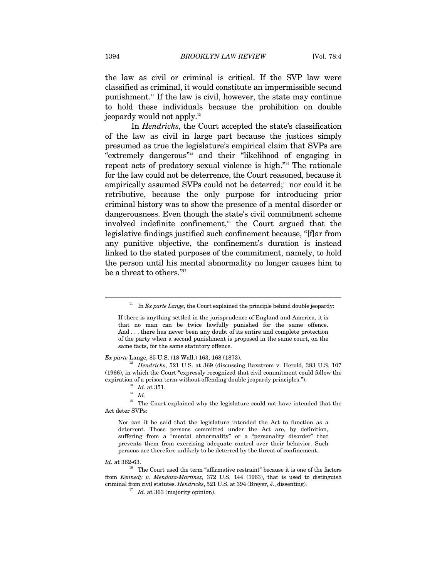the law as civil or criminal is critical. If the SVP law were classified as criminal, it would constitute an impermissible second punishment.11 If the law is civil, however, the state may continue to hold these individuals because the prohibition on double jeopardy would not apply.12

In *Hendricks*, the Court accepted the state's classification of the law as civil in large part because the justices simply presumed as true the legislature's empirical claim that SVPs are "extremely dangerous"<sup>13</sup> and their "likelihood of engaging in repeat acts of predatory sexual violence is high."14 The rationale for the law could not be deterrence, the Court reasoned, because it empirically assumed SVPs could not be deterred;<sup>15</sup> nor could it be retributive, because the only purpose for introducing prior criminal history was to show the presence of a mental disorder or dangerousness. Even though the state's civil commitment scheme involved indefinite confinement,<sup> $16$ </sup> the Court argued that the legislative findings justified such confinement because, "[f]ar from any punitive objective, the confinement's duration is instead linked to the stated purposes of the commitment, namely, to hold the person until his mental abnormality no longer causes him to be a threat to others." $17$ 

*Ex parte* Lange, 85 U.S. (18 Wall.) 163, 168 (1873).

<sup>12</sup> Hendricks, 521 U.S. at 369 (discussing Baxstrom v. Herold, 383 U.S. 107 (1966), in which the Court "expressly recognized that civil commitment could follow the expiration of a prison term without offending double jeopardy principles.").  $I_d$  at 351.  $I_d$ 

 $^{\rm 15}$  The Court explained why the legislature could not have intended that the Act deter SVPs:

Nor can it be said that the legislature intended the Act to function as a deterrent. Those persons committed under the Act are, by definition, suffering from a "mental abnormality" or a "personality disorder" that prevents them from exercising adequate control over their behavior. Such persons are therefore unlikely to be deterred by the threat of confinement.

<sup>&</sup>lt;sup>11</sup> In *Ex parte Lange*, the Court explained the principle behind double jeopardy:

If there is anything settled in the jurisprudence of England and America, it is that no man can be twice lawfully punished for the same offence. And . . . there has never been any doubt of its entire and complete protection of the party when a second punishment is proposed in the same court, on the same facts, for the same statutory offence.

*Id.* at 362-63.<br><sup>16</sup> The Court used the term "affirmative restraint" because it is one of the factors from *Kennedy v. Mendoza-Martinez*, 372 U.S. 144 (1963), that is used to distinguish criminal from civil statutes. *Hendricks*, 521 U.S. at 394 (Breyer, J., dissenting).

<sup>&</sup>lt;sup>17</sup> *Id.* at 363 (majority opinion).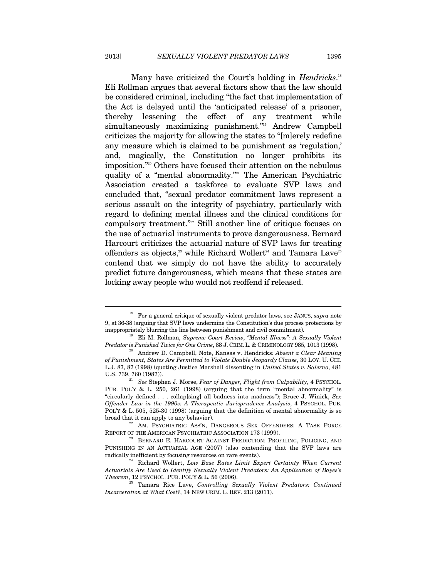Many have criticized the Court's holding in *Hendricks*. 18 Eli Rollman argues that several factors show that the law should be considered criminal, including "the fact that implementation of the Act is delayed until the 'anticipated release' of a prisoner, thereby lessening the effect of any treatment while simultaneously maximizing punishment."<sup>19</sup> Andrew Campbell criticizes the majority for allowing the states to "[m]erely redefine any measure which is claimed to be punishment as 'regulation,' and, magically, the Constitution no longer prohibits its imposition."20 Others have focused their attention on the nebulous quality of a "mental abnormality."<sup>21</sup> The American Psychiatric Association created a taskforce to evaluate SVP laws and concluded that, "sexual predator commitment laws represent a serious assault on the integrity of psychiatry, particularly with regard to defining mental illness and the clinical conditions for compulsory treatment."<sup>22</sup> Still another line of critique focuses on the use of actuarial instruments to prove dangerousness. Bernard Harcourt criticizes the actuarial nature of SVP laws for treating offenders as objects,<sup>23</sup> while Richard Wollert<sup>24</sup> and Tamara Lave<sup>25</sup> contend that we simply do not have the ability to accurately predict future dangerousness, which means that these states are locking away people who would not reoffend if released.

<sup>18</sup> For a general critique of sexually violent predator laws, see JANUS, *supra* note 9, at 36-38 (arguing that SVP laws undermine the Constitution's due process protections by

inappropriately blurring the line between punishment and civil commitment). 19 Eli M. Rollman, *Supreme Court Review*, *"Mental Illness": A Sexually Violent* 

<sup>&</sup>lt;sup>20</sup> Andrew D. Campbell, Note, Kansas v. Hendricks: Absent a Clear Meaning *of Punishment, States Are Permitted to Violate Double Jeopardy Clause*, 30 LOY. U. CHI. L.J. 87, 87 (1998) (quoting Justice Marshall dissenting in *United States v. Salerno*, 481 U.S. 739, 760 (1987)).<br><sup>21</sup> *See* Stephen J. Morse, *Fear of Danger, Flight from Culpability*, 4 PSYCHOL.

PUB. POL'Y & L. 250, 261 (1998) (arguing that the term "mental abnormality" is "circularly defined . . . collap[sing] all badness into madness"); Bruce J. Winick, *Sex Offender Law in the 1990s: A Therapeutic Jurisprudence Analysis*, 4 PSYCHOL. PUB. POL'Y & L. 505, 525-30 (1998) (arguing that the definition of mental abnormality is so broad that it can apply to any behavior).  $^{22}$  AM. PSYCHIATRIC ASS'N, DANGEROUS SEX OFFENDERS: A TASK FORCE

REPORT OF THE AMERICAN PSYCHIATRIC ASSOCIATION 173 (1999).<br><sup>23</sup> BERNARD E. HARCOURT AGAINST PREDICTION: PROFILING, POLICING, AND

PUNISHING IN AN ACTUARIAL AGE (2007) (also contending that the SVP laws are radically inefficient by focusing resources on rare events). 24 Richard Wollert, *Low Base Rates Limit Expert Certainty When Current* 

*Actuarials Are Used to Identify Sexually Violent Predators: An Application of Bayes's* 

<sup>&</sup>lt;sup>25</sup> Tamara Rice Lave, *Controlling Sexually Violent Predators: Continued Incarceration at What Cost?*, 14 NEW CRIM. L. REV. 213 (2011).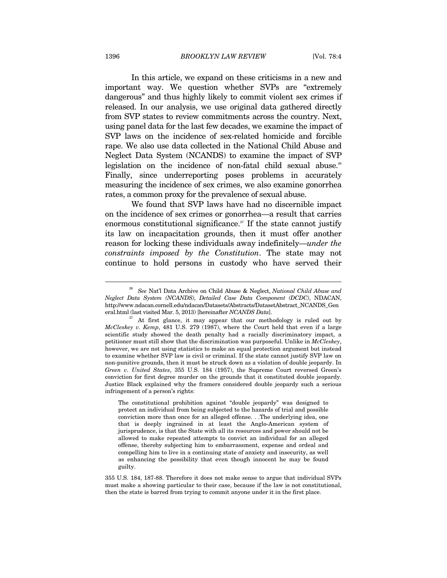In this article, we expand on these criticisms in a new and important way. We question whether SVPs are "extremely dangerous" and thus highly likely to commit violent sex crimes if released. In our analysis, we use original data gathered directly from SVP states to review commitments across the country. Next, using panel data for the last few decades, we examine the impact of SVP laws on the incidence of sex-related homicide and forcible rape. We also use data collected in the National Child Abuse and Neglect Data System (NCANDS) to examine the impact of SVP legislation on the incidence of non-fatal child sexual abuse.<sup>26</sup> Finally, since underreporting poses problems in accurately measuring the incidence of sex crimes, we also examine gonorrhea rates, a common proxy for the prevalence of sexual abuse.

We found that SVP laws have had no discernible impact on the incidence of sex crimes or gonorrhea—a result that carries enormous constitutional significance.<sup>27</sup> If the state cannot justify its law on incapacitation grounds, then it must offer another reason for locking these individuals away indefinitely—*under the constraints imposed by the Constitution*. The state may not continue to hold persons in custody who have served their

355 U.S. 184, 187-88. Therefore it does not make sense to argue that individual SVPs must make a showing particular to their case, because if the law is not constitutional, then the state is barred from trying to commit anyone under it in the first place.

<sup>26</sup> *See* Nat'l Data Archive on Child Abuse & Neglect, *National Child Abuse and Neglect Data System (NCANDS), Detailed Case Data Component (DCDC)*, NDACAN, http://www.ndacan.cornell.edu/ndacan/Datasets/Abstracts/DatasetAbstract\_NCANDS\_General.html (last visited Mar. 5, 2013) [hereinafter *NCANDS Data*].

<sup>&</sup>lt;sup>27</sup> At first glance, it may appear that our methodology is ruled out by *McCleskey v. Kemp*, 481 U.S. 279 (1987), where the Court held that even if a large scientific study showed the death penalty had a racially discriminatory impact, a petitioner must still show that the discrimination was purposeful. Unlike in *McCleskey*, however, we are not using statistics to make an equal protection argument but instead to examine whether SVP law is civil or criminal. If the state cannot justify SVP law on non-punitive grounds, then it must be struck down as a violation of double jeopardy. In *Green v. United States*, 355 U.S. 184 (1957), the Supreme Court reversed Green's conviction for first degree murder on the grounds that it constituted double jeopardy. Justice Black explained why the framers considered double jeopardy such a serious infringement of a person's rights:

The constitutional prohibition against "double jeopardy" was designed to protect an individual from being subjected to the hazards of trial and possible conviction more than once for an alleged offense. . .The underlying idea, one that is deeply ingrained in at least the Anglo-American system of jurisprudence, is that the State with all its resources and power should not be allowed to make repeated attempts to convict an individual for an alleged offense, thereby subjecting him to embarrassment, expense and ordeal and compelling him to live in a continuing state of anxiety and insecurity, as well as enhancing the possibility that even though innocent he may be found guilty.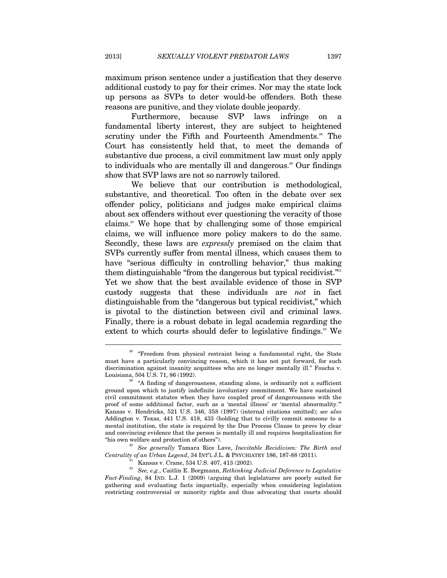maximum prison sentence under a justification that they deserve additional custody to pay for their crimes. Nor may the state lock up persons as SVPs to deter would-be offenders. Both these reasons are punitive, and they violate double jeopardy.

Furthermore, because SVP laws infringe on a fundamental liberty interest, they are subject to heightened scrutiny under the Fifth and Fourteenth Amendments.<sup>28</sup> The Court has consistently held that, to meet the demands of substantive due process, a civil commitment law must only apply to individuals who are mentally ill and dangerous.<sup>29</sup> Our findings show that SVP laws are not so narrowly tailored.

We believe that our contribution is methodological, substantive, and theoretical. Too often in the debate over sex offender policy, politicians and judges make empirical claims about sex offenders without ever questioning the veracity of those claims.<sup>30</sup> We hope that by challenging some of those empirical claims, we will influence more policy makers to do the same. Secondly, these laws are *expressly* premised on the claim that SVPs currently suffer from mental illness, which causes them to have "serious difficulty in controlling behavior," thus making them distinguishable "from the dangerous but typical recidivist."<sup>31</sup> Yet we show that the best available evidence of those in SVP custody suggests that these individuals are *not* in fact distinguishable from the "dangerous but typical recidivist," which is pivotal to the distinction between civil and criminal laws. Finally, there is a robust debate in legal academia regarding the extent to which courts should defer to legislative findings.<sup>32</sup> We

<sup>&</sup>lt;sup>28</sup> "Freedom from physical restraint being a fundamental right, the State must have a particularly convincing reason, which it has not put forward, for such discrimination against insanity acquittees who are no longer mentally ill." Foucha v.

<sup>&</sup>quot;A finding of dangerousness, standing alone, is ordinarily not a sufficient ground upon which to justify indefinite involuntary commitment. We have sustained civil commitment statutes when they have coupled proof of dangerousness with the proof of some additional factor, such as a 'mental illness' or 'mental abnormality.'" Kansas v. Hendricks, 521 U.S. 346, 358 (1997) (internal citations omitted); *see also* Addington v. Texas, 441 U.S. 418, 433 (holding that to civilly commit someone to a mental institution, the state is required by the Due Process Clause to prove by clear and convincing evidence that the person is mentally ill and requires hospitalization for "his own welfare and protection of others"). 30 *See generally* Tamara Rice Lave, *Inevitable Recidivism: The Birth and* 

*Centrality of an Urban Legend*, 34 INT'L J.L. & PSYCHIATRY 186, 187-88 (2011).<br><sup>31</sup> Kansas v. Crane, 534 U.S. 407, 413 (2002).

<sup>32</sup> *See, e.g.*, Caitlin E. Borgmann, *Rethinking Judicial Deference to Legislative Fact-Finding*, 84 IND. L.J. 1 (2009) (arguing that legislatures are poorly suited for gathering and evaluating facts impartially, especially when considering legislation restricting controversial or minority rights and thus advocating that courts should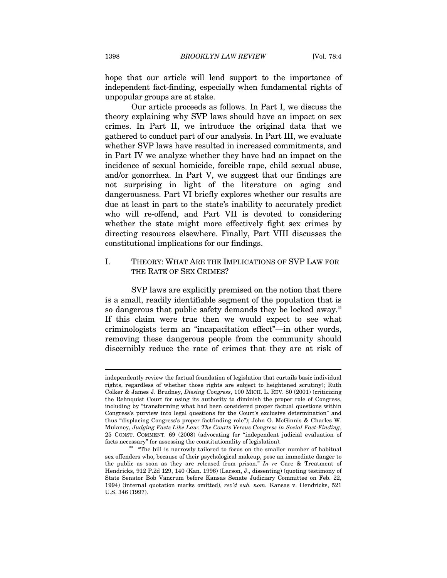hope that our article will lend support to the importance of independent fact-finding, especially when fundamental rights of unpopular groups are at stake.

Our article proceeds as follows. In Part I, we discuss the theory explaining why SVP laws should have an impact on sex crimes. In Part II, we introduce the original data that we gathered to conduct part of our analysis. In Part III, we evaluate whether SVP laws have resulted in increased commitments, and in Part IV we analyze whether they have had an impact on the incidence of sexual homicide, forcible rape, child sexual abuse, and/or gonorrhea. In Part V, we suggest that our findings are not surprising in light of the literature on aging and dangerousness. Part VI briefly explores whether our results are due at least in part to the state's inability to accurately predict who will re-offend, and Part VII is devoted to considering whether the state might more effectively fight sex crimes by directing resources elsewhere. Finally, Part VIII discusses the constitutional implications for our findings.

## I. THEORY: WHAT ARE THE IMPLICATIONS OF SVP LAW FOR THE RATE OF SEX CRIMES?

SVP laws are explicitly premised on the notion that there is a small, readily identifiable segment of the population that is so dangerous that public safety demands they be locked away.<sup>33</sup> If this claim were true then we would expect to see what criminologists term an "incapacitation effect"—in other words, removing these dangerous people from the community should discernibly reduce the rate of crimes that they are at risk of

independently review the factual foundation of legislation that curtails basic individual rights, regardless of whether those rights are subject to heightened scrutiny); Ruth Colker & James J. Brudney, *Dissing Congress*, 100 MICH. L. REV. 80 (2001) (criticizing the Rehnquist Court for using its authority to diminish the proper role of Congress, including by "transforming what had been considered proper factual questions within Congress's purview into legal questions for the Court's exclusive determination" and thus "displacing Congress's proper factfinding role"); John O. McGinnis & Charles W. Mulaney, *Judging Facts Like Law: The Courts Versus Congress in Social Fact-Finding*, 25 CONST. COMMENT. 69 (2008) (advocating for "independent judicial evaluation of facts necessary" for assessing the constitutionality of legislation).

<sup>&</sup>lt;sup>33</sup> "The bill is narrowly tailored to focus on the smaller number of habitual sex offenders who, because of their psychological makeup, pose an immediate danger to the public as soon as they are released from prison." *In re* Care & Treatment of Hendricks, 912 P.2d 129, 140 (Kan. 1996) (Larson, J., dissenting) (quoting testimony of State Senator Bob Vancrum before Kansas Senate Judiciary Committee on Feb. 22, 1994) (internal quotation marks omitted), *rev'd sub. nom.* Kansas v. Hendricks, 521 U.S. 346 (1997).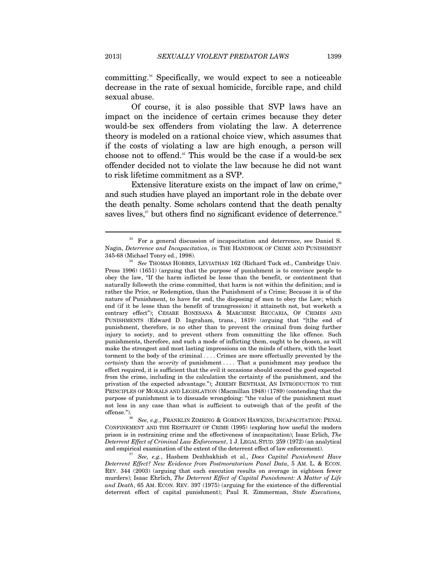committing.34 Specifically, we would expect to see a noticeable decrease in the rate of sexual homicide, forcible rape, and child sexual abuse.

Of course, it is also possible that SVP laws have an impact on the incidence of certain crimes because they deter would-be sex offenders from violating the law. A deterrence theory is modeled on a rational choice view, which assumes that if the costs of violating a law are high enough, a person will choose not to offend.<sup>35</sup> This would be the case if a would-be sex offender decided not to violate the law because he did not want to risk lifetime commitment as a SVP.

Extensive literature exists on the impact of law on crime,<sup>36</sup> and such studies have played an important role in the debate over the death penalty. Some scholars contend that the death penalty saves lives,<sup>37</sup> but others find no significant evidence of deterrence.<sup>38</sup>

<sup>34</sup> For a general discussion of incapacitation and deterrence, see Daniel S. Nagin, *Deterrence and Incapacitation*, *in* THE HANDBOOK OF CRIME AND PUNISHMENT 345-68 (Michael Tonry ed., 1998). 35 *See* THOMAS HOBBES, LEVIATHAN 162 (Richard Tuck ed., Cambridge Univ.

Press 1996) (1651) (arguing that the purpose of punishment is to convince people to obey the law, "If the harm inflicted be lesse than the benefit, or contentment that naturally followeth the crime committed, that harm is not within the definition; and is rather the Price, or Redemption, than the Punishment of a Crime; Because it is of the nature of Punishment, to have for end, the disposing of men to obey the Law; which end (if it be lesse than the benefit of transgression) it attaineth not, but worketh a contrary effect"); CESARE BONESANA & MARCHESE BECCARIA, OF CRIMES AND PUNISHMENTS (Edward D. Ingraham, trans., 1819) (arguing that "[t]he end of punishment, therefore, is no other than to prevent the criminal from doing further injury to society, and to prevent others from committing the like offence. Such punishments, therefore, and such a mode of inflicting them, ought to be chosen, as will make the strongest and most lasting impressions on the minds of others, with the least torment to the body of the criminal . . . . Crimes are more effectually prevented by the *certainty* than the *severity* of punishment . . . . That a punishment may produce the effect required, it is sufficient that the evil it occasions should exceed the good expected from the crime, including in the calculation the certainty of the punishment, and the privation of the expected advantage."); JEREMY BENTHAM, AN INTRODUCTION TO THE PRINCIPLES OF MORALS AND LEGISLATION (Macmillan 1948) (1789) (contending that the purpose of punishment is to dissuade wrongdoing: "the value of the punishment must not less in any case than what is sufficient to outweigh that of the profit of the offense.").

See, e.g., FRANKLIN ZIMRING & GORDON HAWKINS, INCAPACITATION: PENAL CONFINEMENT AND THE RESTRAINT OF CRIME (1995) (exploring how useful the modern prison is in restraining crime and the effectiveness of incapacitation); Isaac Erlich, *The Deterrent Effect of Criminal Law Enforcement*, 1 J. LEGAL STUD. 259 (1972) (an analytical and empirical examination of the extent of the deterrent effect of law enforcement). 37 *See, e.g.*, Hashem Dezhbakhish et al., *Does Capital Punishment Have* 

*Deterrent Effect? New Evidence from Postmoratorium Panel Data*, 5 AM. L. & ECON. REV. 344 (2003) (arguing that each execution results on average in eighteen fewer murders); Isaac Ehrlich, *The Deterrent Effect of Capital Punishment: A Matter of Life and Death*, 65 AM. ECON. REV. 397 (1975) (arguing for the existence of the differential deterrent effect of capital punishment); Paul R. Zimmerman, *State Executions,*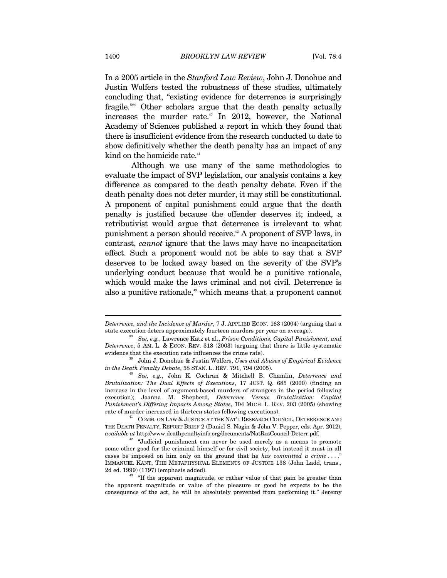In a 2005 article in the *Stanford Law Review*, John J. Donohue and Justin Wolfers tested the robustness of these studies, ultimately concluding that, "existing evidence for deterrence is surprisingly fragile."39 Other scholars argue that the death penalty actually increases the murder rate.<sup>40</sup> In 2012, however, the National Academy of Sciences published a report in which they found that there is insufficient evidence from the research conducted to date to show definitively whether the death penalty has an impact of any kind on the homicide rate.<sup>41</sup>

Although we use many of the same methodologies to evaluate the impact of SVP legislation, our analysis contains a key difference as compared to the death penalty debate. Even if the death penalty does not deter murder, it may still be constitutional. A proponent of capital punishment could argue that the death penalty is justified because the offender deserves it; indeed, a retributivist would argue that deterrence is irrelevant to what punishment a person should receive.42 A proponent of SVP laws, in contrast, *cannot* ignore that the laws may have no incapacitation effect. Such a proponent would not be able to say that a SVP deserves to be locked away based on the severity of the SVP's underlying conduct because that would be a punitive rationale, which would make the laws criminal and not civil. Deterrence is also a punitive rationale,<sup>43</sup> which means that a proponent cannot

*Brutalization: The Dual Effects of Executions*, 17 JUST. Q. 685 (2000) (finding an increase in the level of argument-based murders of strangers in the period following execution); Joanna M. Shepherd, *Deterrence Versus Brutalization: Capital Punishment's Differing Impacts Among States*, 104 MICH. L. REV. 203 (2005) (showing rate of murder increased in thirteen states following executions).

 $^{41}\;$  COMM. ON LAW  $\&$  JUSTICE AT THE NAT'L RESEARCH COUNCIL, DETERRENCE AND THE DEATH PENALTY, REPORT BRIEF 2 (Daniel S. Nagin & John V. Pepper, eds. Apr. 2012), *available at* http://www.deathpenaltyinfo.org/documents/NatResCouncil-Deterr.pdf.

*Deterrence, and the Incidence of Murder*, 7 J. APPLIED ECON. 163 (2004) (arguing that a state execution deters approximately fourteen murders per year on average).

<sup>38</sup> *See, e.g.*, Lawrence Katz et al., *Prison Conditions, Capital Punishment, and Deterrence*, 5 AM. L. & ECON. REV. 318 (2003) (arguing that there is little systematic evidence that the execution rate influences the crime rate).

<sup>39</sup> John J. Donohue & Justin Wolfers, *Uses and Abuses of Empirical Evidence in the Death Penalty Debate*, 58 STAN. L. REV. 791, 794 (2005). 40 *See, e.g.*, John K. Cochran & Mitchell B. Chamlin, *Deterrence and* 

 $2^2$  "Judicial punishment can never be used merely as a means to promote some other good for the criminal himself or for civil society, but instead it must in all cases be imposed on him only on the ground that he *has committed a crime* . . . ." IMMANUEL KANT, THE METAPHYSICAL ELEMENTS OF JUSTICE 138 (John Ladd, trans., 2d ed. 1999) (1797) (emphasis added).  $43$  "If the apparent magnitude, or rather value of that pain be greater than

the apparent magnitude or value of the pleasure or good he expects to be the consequence of the act, he will be absolutely prevented from performing it." Jeremy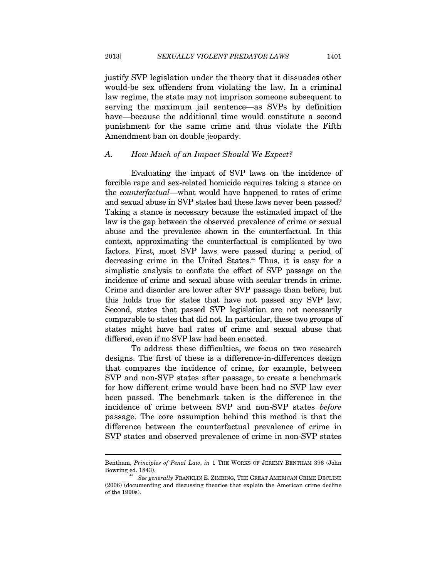justify SVP legislation under the theory that it dissuades other would-be sex offenders from violating the law. In a criminal law regime, the state may not imprison someone subsequent to serving the maximum jail sentence—as SVPs by definition have—because the additional time would constitute a second punishment for the same crime and thus violate the Fifth Amendment ban on double jeopardy.

#### *A. How Much of an Impact Should We Expect?*

Evaluating the impact of SVP laws on the incidence of forcible rape and sex-related homicide requires taking a stance on the *counterfactual*—what would have happened to rates of crime and sexual abuse in SVP states had these laws never been passed? Taking a stance is necessary because the estimated impact of the law is the gap between the observed prevalence of crime or sexual abuse and the prevalence shown in the counterfactual. In this context, approximating the counterfactual is complicated by two factors. First, most SVP laws were passed during a period of decreasing crime in the United States.<sup>44</sup> Thus, it is easy for a simplistic analysis to conflate the effect of SVP passage on the incidence of crime and sexual abuse with secular trends in crime. Crime and disorder are lower after SVP passage than before, but this holds true for states that have not passed any SVP law. Second, states that passed SVP legislation are not necessarily comparable to states that did not. In particular, these two groups of states might have had rates of crime and sexual abuse that differed, even if no SVP law had been enacted.

To address these difficulties, we focus on two research designs. The first of these is a difference-in-differences design that compares the incidence of crime, for example, between SVP and non-SVP states after passage, to create a benchmark for how different crime would have been had no SVP law ever been passed. The benchmark taken is the difference in the incidence of crime between SVP and non-SVP states *before*  passage. The core assumption behind this method is that the difference between the counterfactual prevalence of crime in SVP states and observed prevalence of crime in non-SVP states

Bentham, *Principles of Penal Law*, *in* 1 THE WORKS OF JEREMY BENTHAM 396 (John Bowring ed. 1843).

 $^{44}$  See generally FRANKLIN E. ZIMRING, THE GREAT AMERICAN CRIME DECLINE (2006) (documenting and discussing theories that explain the American crime decline of the 1990s).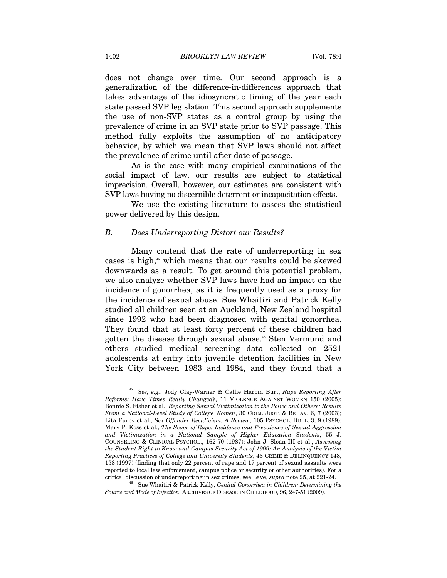does not change over time. Our second approach is a generalization of the difference-in-differences approach that takes advantage of the idiosyncratic timing of the year each state passed SVP legislation. This second approach supplements the use of non-SVP states as a control group by using the prevalence of crime in an SVP state prior to SVP passage. This method fully exploits the assumption of no anticipatory behavior, by which we mean that SVP laws should not affect the prevalence of crime until after date of passage.

As is the case with many empirical examinations of the social impact of law, our results are subject to statistical imprecision. Overall, however, our estimates are consistent with SVP laws having no discernible deterrent or incapacitation effects.

We use the existing literature to assess the statistical power delivered by this design.

#### *B. Does Underreporting Distort our Results?*

Many contend that the rate of underreporting in sex cases is high,<sup>45</sup> which means that our results could be skewed downwards as a result. To get around this potential problem, we also analyze whether SVP laws have had an impact on the incidence of gonorrhea, as it is frequently used as a proxy for the incidence of sexual abuse. Sue Whaitiri and Patrick Kelly studied all children seen at an Auckland, New Zealand hospital since 1992 who had been diagnosed with genital gonorrhea. They found that at least forty percent of these children had gotten the disease through sexual abuse.<sup>46</sup> Sten Vermund and others studied medical screening data collected on 2521 adolescents at entry into juvenile detention facilities in New York City between 1983 and 1984, and they found that a

<sup>45</sup> *See, e.g.*, Jody Clay-Warner & Callie Harbin Burt, *Rape Reporting After Reforms: Have Times Really Changed?*, 11 VIOLENCE AGAINST WOMEN 150 (2005); Bonnie S. Fisher et al., *Reporting Sexual Victimization to the Police and Others: Results From a National-Level Study of College Women*, 30 CRIM. JUST. & BEHAV. 6, 7 (2003); Lita Furby et al., *Sex Offender Recidivism: A Review*, 105 PSYCHOL. BULL. 3, 9 (1989); Mary P. Koss et al., *The Scope of Rape: Incidence and Prevalence of Sexual Aggression and Victimization in a National Sample of Higher Education Students*, 55 J. COUNSELING & CLINICAL PSYCHOL., 162-70 (1987); John J. Sloan III et al., *Assessing the Student Right to Know and Campus Security Act of 1999: An Analysis of the Victim Reporting Practices of College and University Students*, 43 CRIME & DELINQUENCY 148, 158 (1997) (finding that only 22 percent of rape and 17 percent of sexual assaults were reported to local law enforcement, campus police or security or other authorities). For a critical discussion of underreporting in sex crimes, see Lave, *supra* note 25, at 221-24. 46 Sue Whaitiri & Patrick Kelly, *Genital Gonorrhea in Children: Determining the* 

*Source and Mode of Infection*, ARCHIVES OF DISEASE IN CHILDHOOD, 96, 247-51 (2009).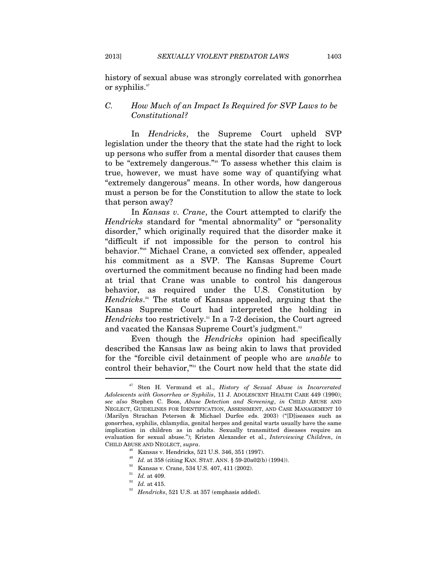history of sexual abuse was strongly correlated with gonorrhea or syphilis.<sup>47</sup>

## *C. How Much of an Impact Is Required for SVP Laws to be Constitutional?*

In *Hendricks*, the Supreme Court upheld SVP legislation under the theory that the state had the right to lock up persons who suffer from a mental disorder that causes them to be "extremely dangerous."48 To assess whether this claim is true, however, we must have some way of quantifying what "extremely dangerous" means. In other words, how dangerous must a person be for the Constitution to allow the state to lock that person away?

In *Kansas v. Crane*, the Court attempted to clarify the *Hendricks* standard for "mental abnormality" or "personality disorder," which originally required that the disorder make it "difficult if not impossible for the person to control his behavior."49 Michael Crane, a convicted sex offender, appealed his commitment as a SVP. The Kansas Supreme Court overturned the commitment because no finding had been made at trial that Crane was unable to control his dangerous behavior, as required under the U.S. Constitution by *Hendricks*. 50 The state of Kansas appealed, arguing that the Kansas Supreme Court had interpreted the holding in *Hendricks* too restrictively.<sup>51</sup> In a 7-2 decision, the Court agreed and vacated the Kansas Supreme Court's judgment.<sup>52</sup>

Even though the *Hendricks* opinion had specifically described the Kansas law as being akin to laws that provided for the "forcible civil detainment of people who are *unable* to control their behavior,"53 the Court now held that the state did

<sup>47</sup> Sten H. Vermund et al., *History of Sexual Abuse in Incarcerated Adolescents with Gonorrhea or Syphilis*, 11 J. ADOLESCENT HEALTH CARE 449 (1990); *see also* Stephen C. Boos, *Abuse Detection and Screening*, *in* CHILD ABUSE AND NEGLECT, GUIDELINES FOR IDENTIFICATION, ASSESSMENT, AND CASE MANAGEMENT 10 (Marilyn Strachan Peterson & Michael Durfee eds. 2003) ("[D]iseases such as gonorrhea, syphilis, chlamydia, genital herpes and genital warts usually have the same implication in children as in adults. Sexually transmitted diseases require an evaluation for sexual abuse."); Kristen Alexander et al., *Interviewing Children*, *in* CHILD ABUSE AND NEGLECT, *supra*. 48 Kansas v. Hendricks, 521 U.S. 346, 351 (1997).

<sup>&</sup>lt;sup>49</sup> Id. at 358 (citing KAN. STAT. ANN. § 59-20a02(b) (1994)).<br><sup>50</sup> Kansas v. Crane, 534 U.S. 407, 411 (2002).<br><sup>51</sup> Id. at 4109.<br><sup>52</sup> Id. at 415.<br>*Hendricks*, 521 U.S. at 357 (emphasis added).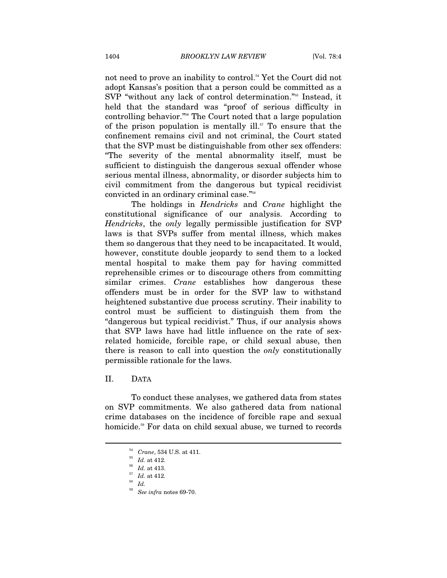not need to prove an inability to control.<sup>54</sup> Yet the Court did not adopt Kansas's position that a person could be committed as a SVP "without any lack of control determination."55 Instead, it held that the standard was "proof of serious difficulty in controlling behavior."56 The Court noted that a large population of the prison population is mentally ill. $57$  To ensure that the confinement remains civil and not criminal, the Court stated that the SVP must be distinguishable from other sex offenders: "The severity of the mental abnormality itself, must be sufficient to distinguish the dangerous sexual offender whose serious mental illness, abnormality, or disorder subjects him to civil commitment from the dangerous but typical recidivist convicted in an ordinary criminal case."58

The holdings in *Hendricks* and *Crane* highlight the constitutional significance of our analysis. According to *Hendricks*, the *only* legally permissible justification for SVP laws is that SVPs suffer from mental illness, which makes them so dangerous that they need to be incapacitated. It would, however, constitute double jeopardy to send them to a locked mental hospital to make them pay for having committed reprehensible crimes or to discourage others from committing similar crimes. *Crane* establishes how dangerous these offenders must be in order for the SVP law to withstand heightened substantive due process scrutiny. Their inability to control must be sufficient to distinguish them from the "dangerous but typical recidivist." Thus, if our analysis shows that SVP laws have had little influence on the rate of sexrelated homicide, forcible rape, or child sexual abuse, then there is reason to call into question the *only* constitutionally permissible rationale for the laws.

## II. DATA

 $\overline{a}$ 

To conduct these analyses, we gathered data from states on SVP commitments. We also gathered data from national crime databases on the incidence of forcible rape and sexual homicide.<sup>59</sup> For data on child sexual abuse, we turned to records

<sup>54</sup> *Crane*, 534 U.S. at 411. 55 *Id.* at 412. 56 *Id.* at 413. 57 *Id.* at 412. 58 *Id.*

<sup>59</sup> *See infra* notes 69-70.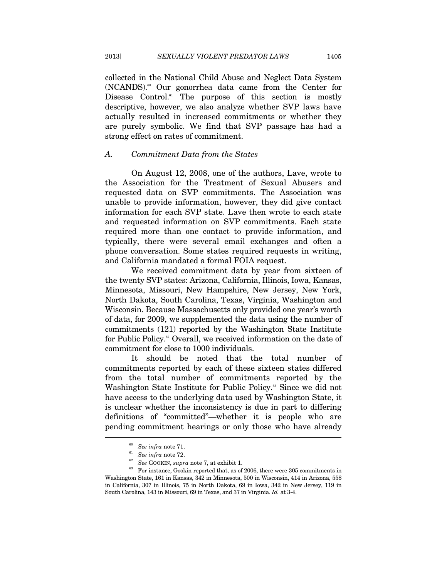collected in the National Child Abuse and Neglect Data System  $(NCANDS)$ .<sup>60</sup> Our gonorrhea data came from the Center for Disease Control.<sup>61</sup> The purpose of this section is mostly descriptive, however, we also analyze whether SVP laws have actually resulted in increased commitments or whether they are purely symbolic. We find that SVP passage has had a strong effect on rates of commitment.

#### *A. Commitment Data from the States*

On August 12, 2008, one of the authors, Lave, wrote to the Association for the Treatment of Sexual Abusers and requested data on SVP commitments. The Association was unable to provide information, however, they did give contact information for each SVP state. Lave then wrote to each state and requested information on SVP commitments. Each state required more than one contact to provide information, and typically, there were several email exchanges and often a phone conversation. Some states required requests in writing, and California mandated a formal FOIA request.

We received commitment data by year from sixteen of the twenty SVP states: Arizona, California, Illinois, Iowa, Kansas, Minnesota, Missouri, New Hampshire, New Jersey, New York, North Dakota, South Carolina, Texas, Virginia, Washington and Wisconsin. Because Massachusetts only provided one year's worth of data, for 2009, we supplemented the data using the number of commitments (121) reported by the Washington State Institute for Public Policy.62 Overall, we received information on the date of commitment for close to 1000 individuals.

It should be noted that the total number of commitments reported by each of these sixteen states differed from the total number of commitments reported by the Washington State Institute for Public Policy.<sup>63</sup> Since we did not have access to the underlying data used by Washington State, it is unclear whether the inconsistency is due in part to differing definitions of "committed"—whether it is people who are pending commitment hearings or only those who have already

<sup>&</sup>lt;sup>60</sup> See infra note 71.<br><sup>61</sup> See infra note 72.<br><sup>62</sup> See GOOKIN, *supra* note 7, at exhibit 1.<br><sup>63</sup> For instance, Gookin reported that, as of 2006, there were 305 commitments in Washington State, 161 in Kansas, 342 in Minnesota, 500 in Wisconsin, 414 in Arizona, 558 in California, 307 in Illinois, 75 in North Dakota, 69 in Iowa, 342 in New Jersey, 119 in South Carolina, 143 in Missouri, 69 in Texas, and 37 in Virginia. *Id.* at 3-4.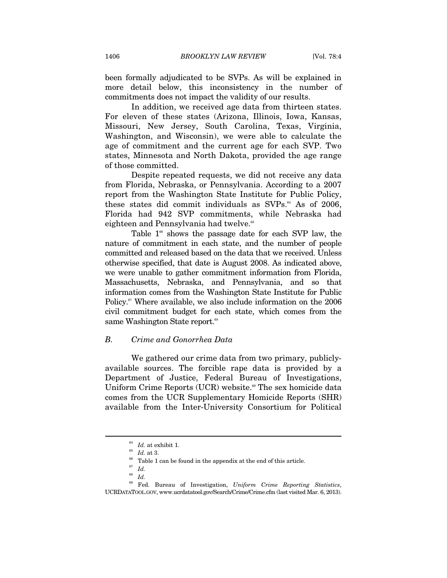been formally adjudicated to be SVPs. As will be explained in more detail below, this inconsistency in the number of commitments does not impact the validity of our results.

In addition, we received age data from thirteen states. For eleven of these states (Arizona, Illinois, Iowa, Kansas, Missouri, New Jersey, South Carolina, Texas, Virginia, Washington, and Wisconsin), we were able to calculate the age of commitment and the current age for each SVP. Two states, Minnesota and North Dakota, provided the age range of those committed.

Despite repeated requests, we did not receive any data from Florida, Nebraska, or Pennsylvania. According to a 2007 report from the Washington State Institute for Public Policy, these states did commit individuals as SVPs. $^{64}$  As of 2006, Florida had 942 SVP commitments, while Nebraska had eighteen and Pennsylvania had twelve.<sup>65</sup>

Table  $1^{\circ\circ}$  shows the passage date for each SVP law, the nature of commitment in each state, and the number of people committed and released based on the data that we received. Unless otherwise specified, that date is August 2008. As indicated above, we were unable to gather commitment information from Florida, Massachusetts, Nebraska, and Pennsylvania, and so that information comes from the Washington State Institute for Public Policy.<sup>67</sup> Where available, we also include information on the 2006 civil commitment budget for each state, which comes from the same Washington State report.<sup>68</sup>

#### *B. Crime and Gonorrhea Data*

We gathered our crime data from two primary, publiclyavailable sources. The forcible rape data is provided by a Department of Justice, Federal Bureau of Investigations, Uniform Crime Reports (UCR) website.<sup>69</sup> The sex homicide data comes from the UCR Supplementary Homicide Reports (SHR) available from the Inter-University Consortium for Political

 $\begin{array}{ll} \mbox{^{64}} & \mbox{Id. at exhibit 1.}\\ \mbox{^{65}} & \mbox{Id. at 3.}\\ \mbox{^{66}} & \mbox{Table 1 can be found in the appendix at the end of this article.} \end{array}$ 

<sup>67</sup> *Id.*

<sup>68</sup> *Id.* 

<sup>69</sup> Fed. Bureau of Investigation, *Uniform Crime Reporting Statistics*, UCRDATATOOL.GOV, www.ucrdatatool.gov/Search/Crime/Crime.cfm (last visited Mar. 6, 2013).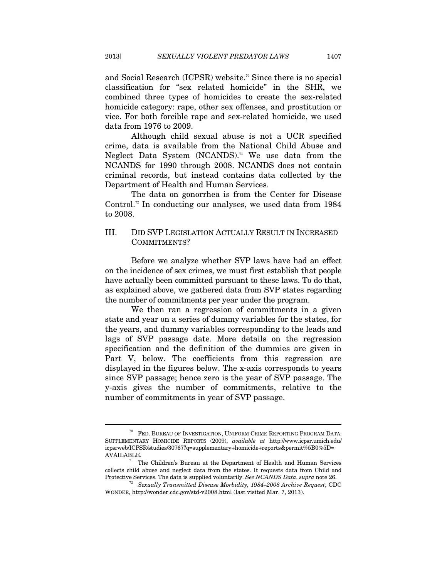and Social Research (ICPSR) website.<sup>70</sup> Since there is no special classification for "sex related homicide" in the SHR, we combined three types of homicides to create the sex-related homicide category: rape, other sex offenses, and prostitution or vice. For both forcible rape and sex-related homicide, we used data from 1976 to 2009.

Although child sexual abuse is not a UCR specified crime, data is available from the National Child Abuse and Neglect Data System  $(NCANDS)$ .<sup>71</sup> We use data from the NCANDS for 1990 through 2008. NCANDS does not contain criminal records, but instead contains data collected by the Department of Health and Human Services. The data on gonorrhea is from the Center for Disease

Control.<sup>72</sup> In conducting our analyses, we used data from 1984 to 2008.

# III. DID SVP LEGISLATION ACTUALLY RESULT IN INCREASED COMMITMENTS?

Before we analyze whether SVP laws have had an effect on the incidence of sex crimes, we must first establish that people have actually been committed pursuant to these laws. To do that, as explained above, we gathered data from SVP states regarding the number of commitments per year under the program.

We then ran a regression of commitments in a given state and year on a series of dummy variables for the states, for the years, and dummy variables corresponding to the leads and lags of SVP passage date. More details on the regression specification and the definition of the dummies are given in Part V, below. The coefficients from this regression are displayed in the figures below. The x-axis corresponds to years since SVP passage; hence zero is the year of SVP passage. The y-axis gives the number of commitments, relative to the number of commitments in year of SVP passage.

 $70$   $\,$  FED. BUREAU OF INVESTIGATION, UNIFORM CRIME REPORTING PROGRAM DATA: SUPPLEMENTARY HOMICIDE REPORTS (2009), *available at* http://www.icpsr.umich.edu/ icpsrweb/ICPSR/studies/30767?q=supplementary+homicide+reports&permit%5B0%5D= AVAILABLE.<br> $^{71}$  The Children's Bureau at the Department of Health and Human Services

collects child abuse and neglect data from the states. It requests data from Child and Protective Services. The data is supplied voluntarily. See NCANDS Data, supra note 26.

Protective Services. The data is supplied voluntarily. *See NCANDS Data*, *supra* note 26. 72 *Sexually Transmitted Disease Morbidity, 1984–2008 Archive Request*, CDC WONDER, http://wonder.cdc.gov/std-v2008.html (last visited Mar. 7, 2013).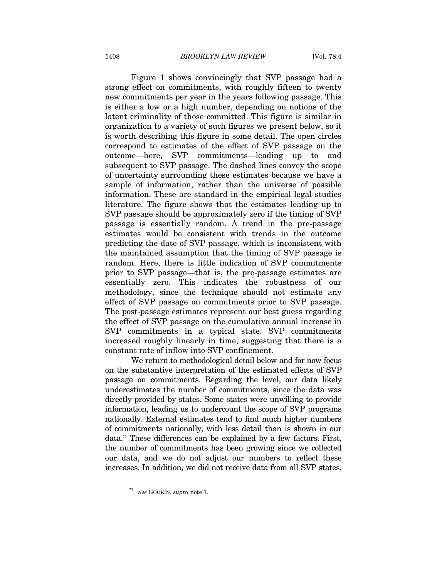Figure 1 shows convincingly that SVP passage had a strong effect on commitments, with roughly fifteen to twenty new commitments per year in the years following passage. This is either a low or a high number, depending on notions of the latent criminality of those committed. This figure is similar in organization to a variety of such figures we present below, so it is worth describing this figure in some detail. The open circles correspond to estimates of the effect of SVP passage on the outcome—here, SVP commitments—leading up to and subsequent to SVP passage. The dashed lines convey the scope of uncertainty surrounding these estimates because we have a sample of information, rather than the universe of possible information. These are standard in the empirical legal studies literature. The figure shows that the estimates leading up to SVP passage should be approximately zero if the timing of SVP passage is essentially random. A trend in the pre-passage estimates would be consistent with trends in the outcome predicting the date of SVP passage, which is inconsistent with the maintained assumption that the timing of SVP passage is random. Here, there is little indication of SVP commitments prior to SVP passage—that is, the pre-passage estimates are essentially zero. This indicates the robustness of our methodology, since the technique should not estimate any effect of SVP passage on commitments prior to SVP passage. The post-passage estimates represent our best guess regarding the effect of SVP passage on the cumulative annual increase in SVP commitments in a typical state. SVP commitments increased roughly linearly in time, suggesting that there is a constant rate of inflow into SVP confinement.

We return to methodological detail below and for now focus on the substantive interpretation of the estimated effects of SVP passage on commitments. Regarding the level, our data likely underestimates the number of commitments, since the data was directly provided by states. Some states were unwilling to provide information, leading us to undercount the scope of SVP programs nationally. External estimates tend to find much higher numbers of commitments nationally, with less detail than is shown in our data.73 These differences can be explained by a few factors. First, the number of commitments has been growing since we collected our data, and we do not adjust our numbers to reflect these increases. In addition, we did not receive data from all SVP states,

<sup>73</sup> *See* GOOKIN, *supra* note 7.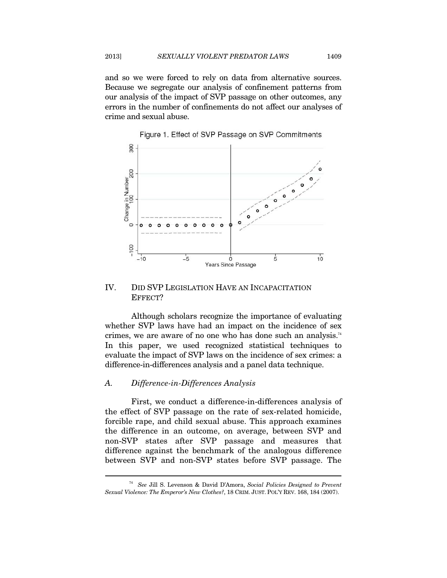and so we were forced to rely on data from alternative sources. Because we segregate our analysis of confinement patterns from our analysis of the impact of SVP passage on other outcomes, any errors in the number of confinements do not affect our analyses of crime and sexual abuse.





## IV. DID SVP LEGISLATION HAVE AN INCAPACITATION EFFECT?

Although scholars recognize the importance of evaluating whether SVP laws have had an impact on the incidence of sex crimes, we are aware of no one who has done such an analysis.<sup>74</sup> In this paper, we used recognized statistical techniques to evaluate the impact of SVP laws on the incidence of sex crimes: a difference-in-differences analysis and a panel data technique.

#### *A. Difference-in-Differences Analysis*

 $\overline{a}$ 

First, we conduct a difference-in-differences analysis of the effect of SVP passage on the rate of sex-related homicide, forcible rape, and child sexual abuse. This approach examines the difference in an outcome, on average, between SVP and non-SVP states after SVP passage and measures that difference against the benchmark of the analogous difference between SVP and non-SVP states before SVP passage. The

<sup>74</sup> *See* Jill S. Levenson & David D'Amora, *Social Policies Designed to Prevent Sexual Violence: The Emperor's New Clothes?*, 18 CRIM. JUST. POL'Y REV. 168, 184 (2007).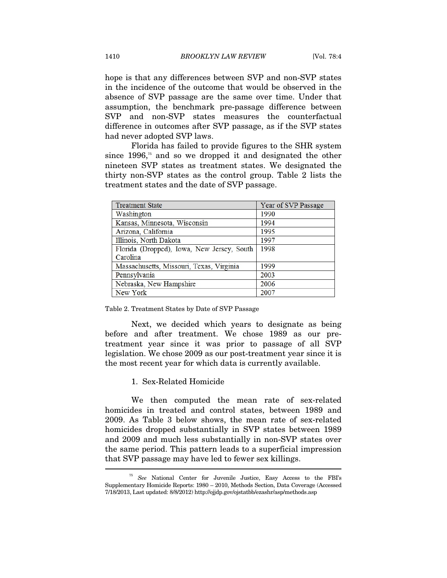hope is that any differences between SVP and non-SVP states in the incidence of the outcome that would be observed in the absence of SVP passage are the same over time. Under that assumption, the benchmark pre-passage difference between SVP and non-SVP states measures the counterfactual difference in outcomes after SVP passage, as if the SVP states had never adopted SVP laws.

Florida has failed to provide figures to the SHR system since  $1996$ ,<sup>75</sup> and so we dropped it and designated the other nineteen SVP states as treatment states. We designated the thirty non-SVP states as the control group. Table 2 lists the treatment states and the date of SVP passage.

| <b>Treatment State</b>                     | Year of SVP Passage |
|--------------------------------------------|---------------------|
| Washington                                 | 1990                |
| Kansas, Minnesota, Wisconsin               | 1994                |
| Arizona, California                        | 1995                |
| Illinois, North Dakota                     | 1997                |
| Florida (Dropped), Iowa, New Jersey, South | 1998                |
| Carolina                                   |                     |
| Massachusetts, Missouri, Texas, Virginia   | 1999                |
| Pennsylvania                               | 2003                |
| Nebraska, New Hampshire                    | 2006                |
| New York                                   | 2007                |

Table 2. Treatment States by Date of SVP Passage

Next, we decided which years to designate as being before and after treatment. We chose 1989 as our pretreatment year since it was prior to passage of all SVP legislation. We chose 2009 as our post-treatment year since it is the most recent year for which data is currently available.

1. Sex-Related Homicide

We then computed the mean rate of sex-related homicides in treated and control states, between 1989 and 2009. As Table 3 below shows, the mean rate of sex-related homicides dropped substantially in SVP states between 1989 and 2009 and much less substantially in non-SVP states over the same period. This pattern leads to a superficial impression that SVP passage may have led to fewer sex killings.

<sup>75</sup> *See* National Center for Juvenile Justice, Easy Access to the FBI's Supplementary Homicide Reports: 1980 – 2010, Methods Section, Data Coverage (Accessed 7/18/2013, Last updated: 8/8/2012) http://ojjdp.gov/ojstatbb/ezashr/asp/methods.asp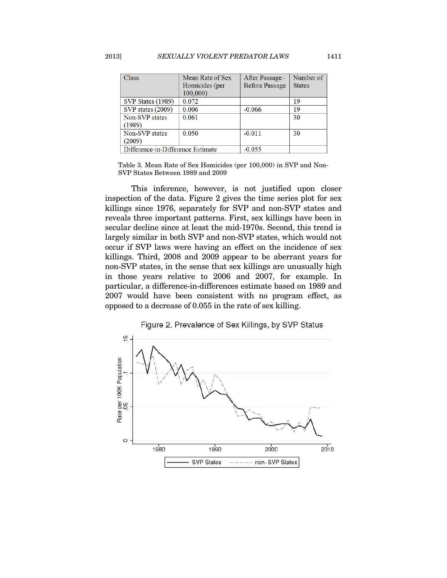| Class                             | Mean Rate of Sex | After Passage-        | Number of     |
|-----------------------------------|------------------|-----------------------|---------------|
|                                   | Homicides (per   | <b>Before Passage</b> | <b>States</b> |
|                                   | 100,000)         |                       |               |
| SVP States (1989)                 | 0.072            |                       | 19            |
| SVP states (2009)                 | 0.006            | $-0.066$              | 19            |
| Non-SVP states                    | 0.061            |                       | 30            |
| (1989)                            |                  |                       |               |
| Non-SVP states                    | 0.050            | $-0.011$              | 30            |
| (2009)                            |                  |                       |               |
| Difference-in-Difference Estimate |                  | $-0.055$              |               |

Table 3. Mean Rate of Sex Homicides (per 100,000) in SVP and Non-SVP States Between 1989 and 2009

This inference, however, is not justified upon closer inspection of the data. Figure 2 gives the time series plot for sex killings since 1976, separately for SVP and non-SVP states and reveals three important patterns. First, sex killings have been in secular decline since at least the mid-1970s. Second, this trend is largely similar in both SVP and non-SVP states, which would not occur if SVP laws were having an effect on the incidence of sex killings. Third, 2008 and 2009 appear to be aberrant years for non-SVP states, in the sense that sex killings are unusually high in those years relative to 2006 and 2007, for example. In particular, a difference-in-differences estimate based on 1989 and 2007 would have been consistent with no program effect, as opposed to a decrease of 0.055 in the rate of sex killing.

## Figure 2. Prevalence of Sex Killings, by SVP Status

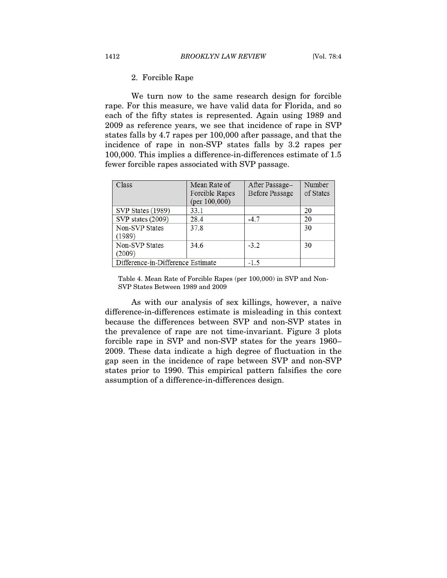#### 2. Forcible Rape

We turn now to the same research design for forcible rape. For this measure, we have valid data for Florida, and so each of the fifty states is represented. Again using 1989 and 2009 as reference years, we see that incidence of rape in SVP states falls by 4.7 rapes per 100,000 after passage, and that the incidence of rape in non-SVP states falls by 3.2 rapes per 100,000. This implies a difference-in-differences estimate of 1.5 fewer forcible rapes associated with SVP passage.

| <b>Class</b>                      | Mean Rate of<br><b>Forcible Rapes</b><br>(per $100,000$ ) | After Passage-<br><b>Before Passage</b> | Number<br>of States |
|-----------------------------------|-----------------------------------------------------------|-----------------------------------------|---------------------|
| SVP States (1989)                 | 33.1                                                      |                                         | 20                  |
| SVP states (2009)                 | 28.4                                                      | $-4.7$                                  | 20                  |
| Non-SVP States<br>(1989)          | 37.8                                                      |                                         | 30                  |
| <b>Non-SVP States</b>             | 34.6                                                      | $-3.2$                                  | 30                  |
| (2009)                            |                                                           |                                         |                     |
| Difference-in-Difference Estimate |                                                           | $-1.5$                                  |                     |

Table 4. Mean Rate of Forcible Rapes (per 100,000) in SVP and Non-SVP States Between 1989 and 2009

As with our analysis of sex killings, however, a naïve difference-in-differences estimate is misleading in this context because the differences between SVP and non-SVP states in the prevalence of rape are not time-invariant. Figure 3 plots forcible rape in SVP and non-SVP states for the years 1960– 2009. These data indicate a high degree of fluctuation in the gap seen in the incidence of rape between SVP and non-SVP states prior to 1990. This empirical pattern falsifies the core assumption of a difference-in-differences design.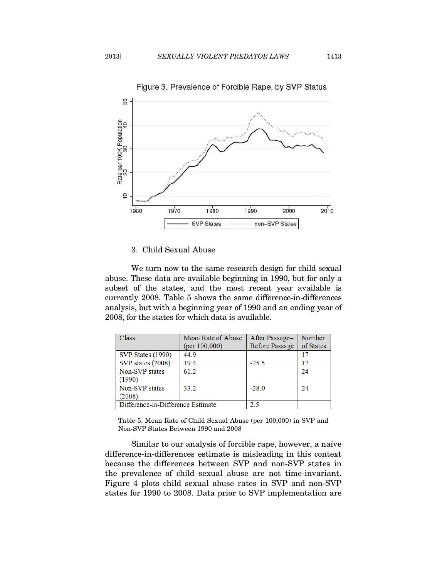

## 3. Child Sexual Abuse

We turn now to the same research design for child sexual abuse. These data are available beginning in 1990, but for only a subset of the states, and the most recent year available is currently 2008. Table 5 shows the same difference-in-differences analysis, but with a beginning year of 1990 and an ending year of 2008, for the states for which data is available.

| <b>Class</b>                      | Mean Rate of Abuse | After Passage-        | Number    |
|-----------------------------------|--------------------|-----------------------|-----------|
|                                   | (per 100,000)      | <b>Before Passage</b> | of States |
| SVP States (1990)                 | 44.9               |                       | 17        |
| SVP states (2008)                 | 19.4               | $-25.5$               | 17        |
| Non-SVP states                    | 61.2               |                       | 24        |
| (1990)                            |                    |                       |           |
| Non-SVP states                    | 33.2               | $-28.0$               | 24        |
| (2008)                            |                    |                       |           |
| Difference-in-Difference Estimate | 2.5                |                       |           |

Table 5. Mean Rate of Child Sexual Abuse (per 100,000) in SVP and Non-SVP States Between 1990 and 2008

Similar to our analysis of forcible rape, however, a naïve difference-in-differences estimate is misleading in this context because the differences between SVP and non-SVP states in the prevalence of child sexual abuse are not time-invariant. Figure 4 plots child sexual abuse rates in SVP and non-SVP states for 1990 to 2008. Data prior to SVP implementation are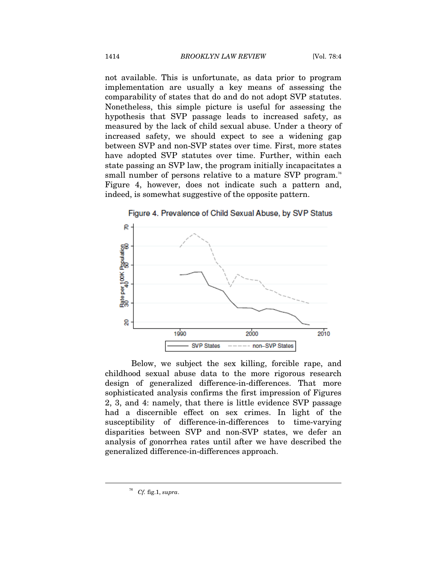not available. This is unfortunate, as data prior to program implementation are usually a key means of assessing the comparability of states that do and do not adopt SVP statutes. Nonetheless, this simple picture is useful for assessing the hypothesis that SVP passage leads to increased safety, as measured by the lack of child sexual abuse. Under a theory of increased safety, we should expect to see a widening gap between SVP and non-SVP states over time. First, more states have adopted SVP statutes over time. Further, within each state passing an SVP law, the program initially incapacitates a small number of persons relative to a mature SVP program.<sup>76</sup> Figure 4, however, does not indicate such a pattern and, indeed, is somewhat suggestive of the opposite pattern.



Below, we subject the sex killing, forcible rape, and childhood sexual abuse data to the more rigorous research design of generalized difference-in-differences. That more sophisticated analysis confirms the first impression of Figures 2, 3, and 4: namely, that there is little evidence SVP passage had a discernible effect on sex crimes. In light of the susceptibility of difference-in-differences to time-varying disparities between SVP and non-SVP states, we defer an analysis of gonorrhea rates until after we have described the generalized difference-in-differences approach.

<sup>76</sup> *Cf.* fig.1, *supra*.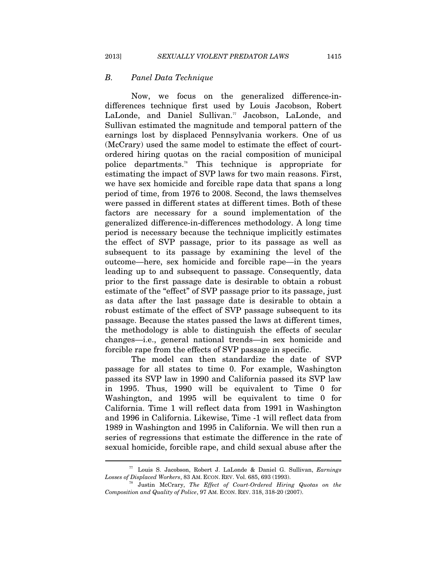#### *B. Panel Data Technique*

Now, we focus on the generalized difference-indifferences technique first used by Louis Jacobson, Robert LaLonde, and Daniel Sullivan.<sup>77</sup> Jacobson, LaLonde, and Sullivan estimated the magnitude and temporal pattern of the earnings lost by displaced Pennsylvania workers. One of us (McCrary) used the same model to estimate the effect of courtordered hiring quotas on the racial composition of municipal police departments.78 This technique is appropriate for estimating the impact of SVP laws for two main reasons. First, we have sex homicide and forcible rape data that spans a long period of time, from 1976 to 2008. Second, the laws themselves were passed in different states at different times. Both of these factors are necessary for a sound implementation of the generalized difference-in-differences methodology. A long time period is necessary because the technique implicitly estimates the effect of SVP passage, prior to its passage as well as subsequent to its passage by examining the level of the outcome—here, sex homicide and forcible rape—in the years leading up to and subsequent to passage. Consequently, data prior to the first passage date is desirable to obtain a robust estimate of the "effect" of SVP passage prior to its passage, just as data after the last passage date is desirable to obtain a robust estimate of the effect of SVP passage subsequent to its passage. Because the states passed the laws at different times, the methodology is able to distinguish the effects of secular changes—i.e., general national trends—in sex homicide and forcible rape from the effects of SVP passage in specific.

The model can then standardize the date of SVP passage for all states to time 0. For example, Washington passed its SVP law in 1990 and California passed its SVP law in 1995. Thus, 1990 will be equivalent to Time 0 for Washington, and 1995 will be equivalent to time 0 for California. Time 1 will reflect data from 1991 in Washington and 1996 in California. Likewise, Time -1 will reflect data from 1989 in Washington and 1995 in California. We will then run a series of regressions that estimate the difference in the rate of sexual homicide, forcible rape, and child sexual abuse after the

<sup>77</sup> Louis S. Jacobson, Robert J. LaLonde & Daniel G. Sullivan, *Earnings* 

<sup>&</sup>lt;sup>78</sup> Justin McCrary, *The Effect of Court-Ordered Hiring Quotas on the Composition and Quality of Police*, 97 AM. ECON. REV. 318, 318-20 (2007).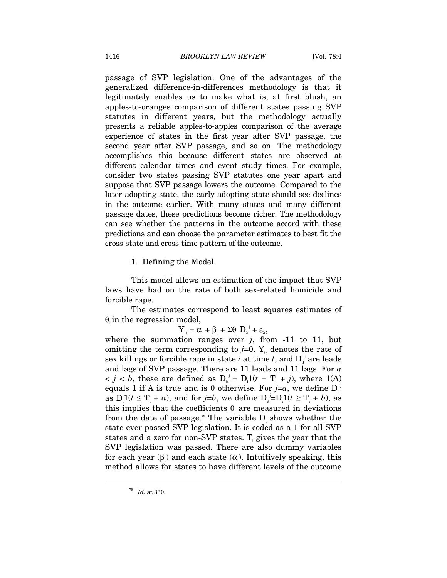passage of SVP legislation. One of the advantages of the generalized difference-in-differences methodology is that it legitimately enables us to make what is, at first blush, an apples-to-oranges comparison of different states passing SVP statutes in different years, but the methodology actually presents a reliable apples-to-apples comparison of the average experience of states in the first year after SVP passage, the second year after SVP passage, and so on. The methodology accomplishes this because different states are observed at different calendar times and event study times. For example, consider two states passing SVP statutes one year apart and suppose that SVP passage lowers the outcome. Compared to the later adopting state, the early adopting state should see declines in the outcome earlier. With many states and many different passage dates, these predictions become richer. The methodology can see whether the patterns in the outcome accord with these predictions and can choose the parameter estimates to best fit the cross-state and cross-time pattern of the outcome.

1. Defining the Model

This model allows an estimation of the impact that SVP laws have had on the rate of both sex-related homicide and forcible rape.

The estimates correspond to least squares estimates of  $\theta_i$  in the regression model,

 $Y_{it} = \alpha_i + \beta_t + \Sigma \theta_j D_{it}^{j} + \varepsilon_{it},$ 

where the summation ranges over  $j$ , from  $-11$  to  $11$ , but omitting the term corresponding to  $j=0$ . Y<sub>it</sub> denotes the rate of sex killings or forcible rape in state  $i$  at time  $t$ , and  $D_{it}^{\ j}$  are leads and lags of SVP passage. There are 11 leads and 11 lags. For *a*   $< j < b$ , these are defined as  $D_{it}^{j} = D_{i}1(t = T_{i} + j)$ , where 1(A) equals 1 if A is true and is 0 otherwise. For  $j=a$ , we define  $D_{it}^{j}$ as  $D_i 1(t \leq T_i + a)$ , and for *j*=*b*, we define  $D_i i = D_i 1(t \geq T_i + b)$ , as this implies that the coefficients  $\theta_j$  are measured in deviations from the date of passage.<sup>79</sup> The variable  $D_i$  shows whether the state ever passed SVP legislation. It is coded as a 1 for all SVP states and a zero for non-SVP states.  $T_i$  gives the year that the SVP legislation was passed. There are also dummy variables for each year  $(\beta_i)$  and each state  $(\alpha_i)$ . Intuitively speaking, this method allows for states to have different levels of the outcome

<sup>79</sup> *Id.* at 330.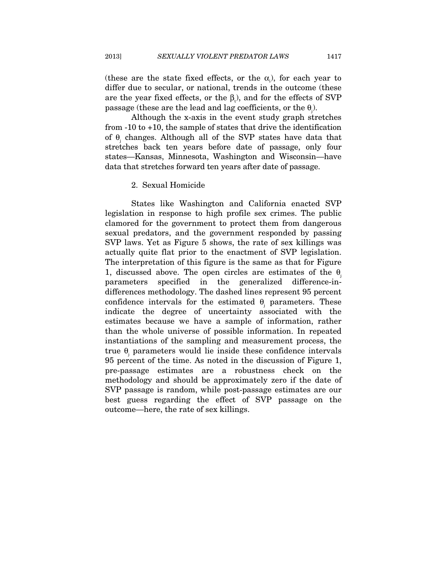(these are the state fixed effects, or the  $\alpha_i$ ), for each year to differ due to secular, or national, trends in the outcome (these are the year fixed effects, or the  $\beta_t$ ), and for the effects of SVP passage (these are the lead and lag coefficients, or the  $\theta$ <sub>j</sub>).

Although the x-axis in the event study graph stretches from -10 to +10, the sample of states that drive the identification of  $\theta$ <sub>j</sub> changes. Although all of the SVP states have data that stretches back ten years before date of passage, only four states—Kansas, Minnesota, Washington and Wisconsin—have data that stretches forward ten years after date of passage.

#### 2. Sexual Homicide

States like Washington and California enacted SVP legislation in response to high profile sex crimes. The public clamored for the government to protect them from dangerous sexual predators, and the government responded by passing SVP laws. Yet as Figure 5 shows, the rate of sex killings was actually quite flat prior to the enactment of SVP legislation. The interpretation of this figure is the same as that for Figure 1, discussed above. The open circles are estimates of the  $\theta_i$ parameters specified in the generalized difference-indifferences methodology. The dashed lines represent 95 percent confidence intervals for the estimated  $\theta_j$  parameters. These indicate the degree of uncertainty associated with the estimates because we have a sample of information, rather than the whole universe of possible information. In repeated instantiations of the sampling and measurement process, the true  $\theta$ <sub>j</sub> parameters would lie inside these confidence intervals 95 percent of the time. As noted in the discussion of Figure 1, pre-passage estimates are a robustness check on the methodology and should be approximately zero if the date of SVP passage is random, while post-passage estimates are our best guess regarding the effect of SVP passage on the outcome—here, the rate of sex killings.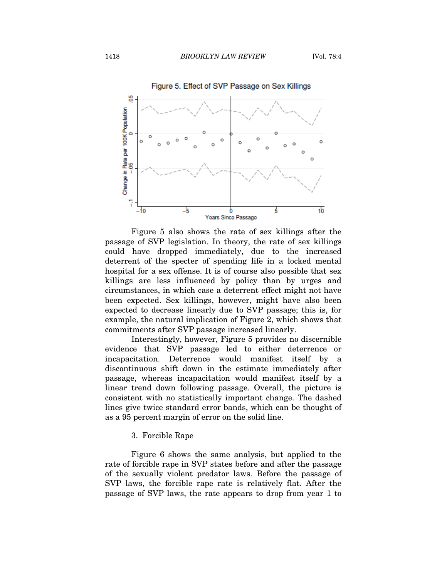

Figure 5 also shows the rate of sex killings after the passage of SVP legislation. In theory, the rate of sex killings could have dropped immediately, due to the increased deterrent of the specter of spending life in a locked mental hospital for a sex offense. It is of course also possible that sex killings are less influenced by policy than by urges and circumstances, in which case a deterrent effect might not have been expected. Sex killings, however, might have also been expected to decrease linearly due to SVP passage; this is, for example, the natural implication of Figure 2, which shows that commitments after SVP passage increased linearly.

Interestingly, however, Figure 5 provides no discernible evidence that SVP passage led to either deterrence or incapacitation. Deterrence would manifest itself by a discontinuous shift down in the estimate immediately after passage, whereas incapacitation would manifest itself by a linear trend down following passage. Overall, the picture is consistent with no statistically important change. The dashed lines give twice standard error bands, which can be thought of as a 95 percent margin of error on the solid line.

#### 3. Forcible Rape

Figure 6 shows the same analysis, but applied to the rate of forcible rape in SVP states before and after the passage of the sexually violent predator laws. Before the passage of SVP laws, the forcible rape rate is relatively flat. After the passage of SVP laws, the rate appears to drop from year 1 to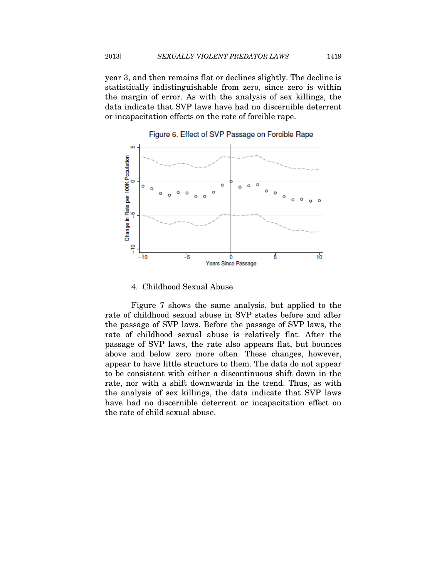year 3, and then remains flat or declines slightly. The decline is statistically indistinguishable from zero, since zero is within the margin of error. As with the analysis of sex killings, the data indicate that SVP laws have had no discernible deterrent or incapacitation effects on the rate of forcible rape.



Figure 6. Effect of SVP Passage on Forcible Rape

#### 4. Childhood Sexual Abuse

Figure 7 shows the same analysis, but applied to the rate of childhood sexual abuse in SVP states before and after the passage of SVP laws. Before the passage of SVP laws, the rate of childhood sexual abuse is relatively flat. After the passage of SVP laws, the rate also appears flat, but bounces above and below zero more often. These changes, however, appear to have little structure to them. The data do not appear to be consistent with either a discontinuous shift down in the rate, nor with a shift downwards in the trend. Thus, as with the analysis of sex killings, the data indicate that SVP laws have had no discernible deterrent or incapacitation effect on the rate of child sexual abuse.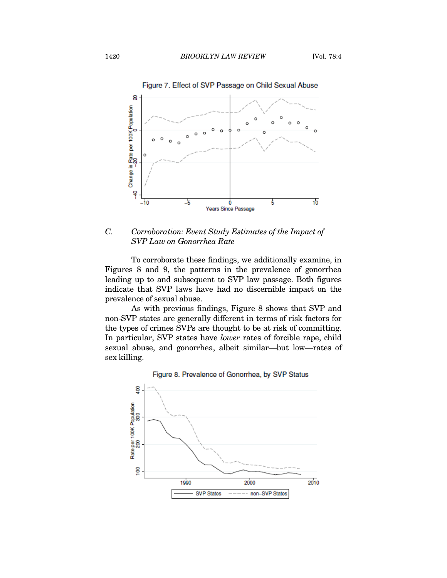

*C. Corroboration: Event Study Estimates of the Impact of SVP Law on Gonorrhea Rate* 

To corroborate these findings, we additionally examine, in Figures 8 and 9, the patterns in the prevalence of gonorrhea leading up to and subsequent to SVP law passage. Both figures indicate that SVP laws have had no discernible impact on the prevalence of sexual abuse.

As with previous findings, Figure 8 shows that SVP and non-SVP states are generally different in terms of risk factors for the types of crimes SVPs are thought to be at risk of committing. In particular, SVP states have *lower* rates of forcible rape, child sexual abuse, and gonorrhea, albeit similar—but low—rates of sex killing.



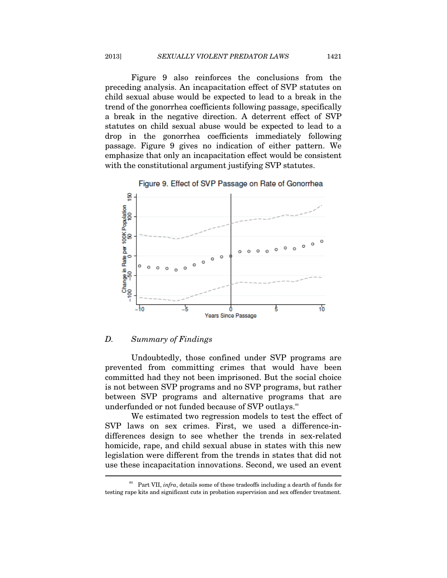Figure 9 also reinforces the conclusions from the preceding analysis. An incapacitation effect of SVP statutes on child sexual abuse would be expected to lead to a break in the trend of the gonorrhea coefficients following passage, specifically a break in the negative direction. A deterrent effect of SVP statutes on child sexual abuse would be expected to lead to a drop in the gonorrhea coefficients immediately following passage. Figure 9 gives no indication of either pattern. We emphasize that only an incapacitation effect would be consistent with the constitutional argument justifying SVP statutes.





#### *D. Summary of Findings*

Undoubtedly, those confined under SVP programs are prevented from committing crimes that would have been committed had they not been imprisoned. But the social choice is not between SVP programs and no SVP programs, but rather between SVP programs and alternative programs that are underfunded or not funded because of SVP outlays.<sup>80</sup>

We estimated two regression models to test the effect of SVP laws on sex crimes. First, we used a difference-indifferences design to see whether the trends in sex-related homicide, rape, and child sexual abuse in states with this new legislation were different from the trends in states that did not use these incapacitation innovations. Second, we used an event  $\overline{a}$ 

<sup>80</sup> Part VII, *infra*, details some of these tradeoffs including a dearth of funds for testing rape kits and significant cuts in probation supervision and sex offender treatment.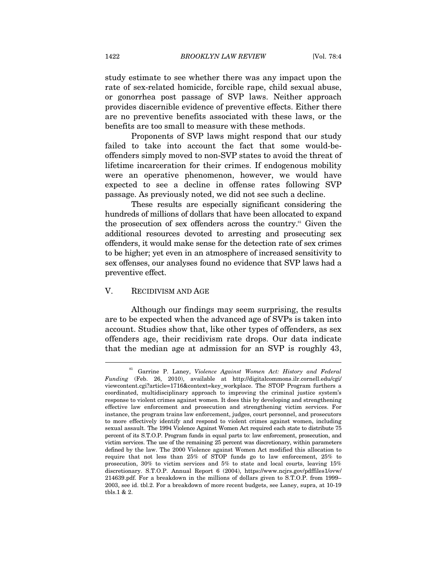study estimate to see whether there was any impact upon the rate of sex-related homicide, forcible rape, child sexual abuse, or gonorrhea post passage of SVP laws. Neither approach provides discernible evidence of preventive effects. Either there are no preventive benefits associated with these laws, or the benefits are too small to measure with these methods.

Proponents of SVP laws might respond that our study failed to take into account the fact that some would-beoffenders simply moved to non-SVP states to avoid the threat of lifetime incarceration for their crimes. If endogenous mobility were an operative phenomenon, however, we would have expected to see a decline in offense rates following SVP passage. As previously noted, we did not see such a decline.

These results are especially significant considering the hundreds of millions of dollars that have been allocated to expand the prosecution of sex offenders across the country.<sup>81</sup> Given the additional resources devoted to arresting and prosecuting sex offenders, it would make sense for the detection rate of sex crimes to be higher; yet even in an atmosphere of increased sensitivity to sex offenses, our analyses found no evidence that SVP laws had a preventive effect.

#### V. RECIDIVISM AND AGE

 $\overline{a}$ 

Although our findings may seem surprising, the results are to be expected when the advanced age of SVPs is taken into account. Studies show that, like other types of offenders, as sex offenders age, their recidivism rate drops. Our data indicate that the median age at admission for an SVP is roughly 43,

<sup>81</sup> Garrine P. Laney, *Violence Against Women Act: History and Federal Funding* (Feb. 26, 2010), available at http://digitalcommons.ilr.cornell.edu/cgi/ viewcontent.cgi?article=1716&context=key\_workplace. The STOP Program furthers a coordinated, multidisciplinary approach to improving the criminal justice system's response to violent crimes against women. It does this by developing and strengthening effective law enforcement and prosecution and strengthening victim services. For instance, the program trains law enforcement, judges, court personnel, and prosecutors to more effectively identify and respond to violent crimes against women, including sexual assault. The 1994 Violence Against Women Act required each state to distribute 75 percent of its S.T.O.P. Program funds in equal parts to: law enforcement, prosecution, and victim services. The use of the remaining 25 percent was discretionary, within parameters defined by the law. The 2000 Violence against Women Act modified this allocation to require that not less than 25% of STOP funds go to law enforcement, 25% to prosecution, 30% to victim services and 5% to state and local courts, leaving 15% discretionary. S.T.O.P. Annual Report 6 (2004), https://www.ncjrs.gov/pdffiles1/ovw/ 214639.pdf. For a breakdown in the millions of dollars given to S.T.O.P. from 1999– 2003, see id. tbl.2. For a breakdown of more recent budgets, see Laney, supra, at 10-19 tbls.1 & 2.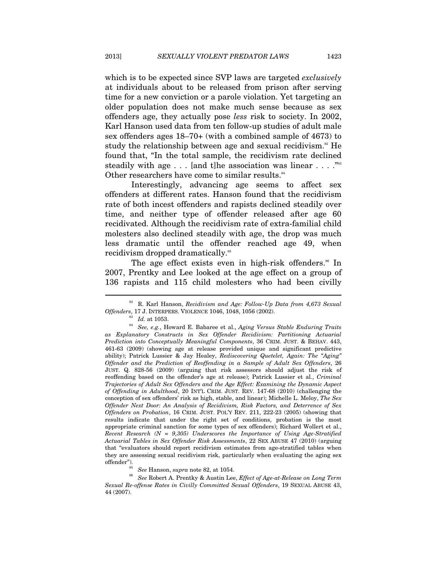which is to be expected since SVP laws are targeted *exclusively* at individuals about to be released from prison after serving time for a new conviction or a parole violation. Yet targeting an older population does not make much sense because as sex offenders age, they actually pose *less* risk to society. In 2002, Karl Hanson used data from ten follow-up studies of adult male sex offenders ages 18–70+ (with a combined sample of 4673) to study the relationship between age and sexual recidivism.<sup>82</sup> He found that, "In the total sample, the recidivism rate declined steadily with age  $\dots$  [and t] he association was linear  $\dots$ ."<sup>83</sup> Other researchers have come to similar results.<sup>84</sup>

Interestingly, advancing age seems to affect sex offenders at different rates. Hanson found that the recidivism rate of both incest offenders and rapists declined steadily over time, and neither type of offender released after age 60 recidivated. Although the recidivism rate of extra-familial child molesters also declined steadily with age, the drop was much less dramatic until the offender reached age 49, when recidivism dropped dramatically.<sup>85</sup>

The age effect exists even in high-risk offenders.<sup>86</sup> In 2007, Prentky and Lee looked at the age effect on a group of 136 rapists and 115 child molesters who had been civilly

<sup>82</sup> R. Karl Hanson, *Recidivism and Age: Follow-Up Data from 4,673 Sexual Offenders*, 17 J. INTERPERS. VIOLENCE 1046, 1048, 1056 (2002). 83 *Id.* at 1053.

<sup>84</sup> *See, e.g.*, Howard E. Babaree et al., *Aging Versus Stable Enduring Traits as Explanatory Constructs in Sex Offender Recidivism: Partitioning Actuarial Prediction into Conceptually Meaningful Components*, 36 CRIM. JUST. & BEHAV. 443, 461-63 (2009) (showing age at release provided unique and significant predictive ability); Patrick Lussier & Jay Healey, *Rediscovering Quetelet, Again: The "Aging" Offender and the Prediction of Reoffending in a Sample of Adult Sex Offenders*, 26 JUST. Q. 828-56 (2009) (arguing that risk assessors should adjust the risk of reoffending based on the offender's age at release); Patrick Lussier et al., *Criminal Trajectories of Adult Sex Offenders and the Age Effect: Examining the Dynamic Aspect of Offending in Adulthood*, 20 INT'L CRIM. JUST. REV. 147-68 (2010) (challenging the conception of sex offenders' risk as high, stable, and linear); Michelle L. Meloy, *The Sex Offender Next Door: An Analysis of Recidivism, Risk Factors, and Deterrence of Sex Offenders on Probation*, 16 CRIM. JUST. POL'Y REV. 211, 222-23 (2005) (showing that results indicate that under the right set of conditions, probation is the most appropriate criminal sanction for some types of sex offenders); Richard Wollert et al., *Recent Research (N = 9,305) Underscores the Importance of Using Age-Stratified Actuarial Tables in Sex Offender Risk Assessments*, 22 SEX ABUSE 47 (2010) (arguing that "evaluators should report recidivism estimates from age-stratified tables when they are assessing sexual recidivism risk, particularly when evaluating the aging sex offender").

<sup>85</sup> *See* Hanson, *supra* note 82, at 1054. 86 *See* Robert A. Prentky & Austin Lee, *Effect of Age-at-Release on Long Term Sexual Re-offense Rates in Civilly Committed Sexual Offenders*, 19 SEXUAL ABUSE 43, 44 (2007).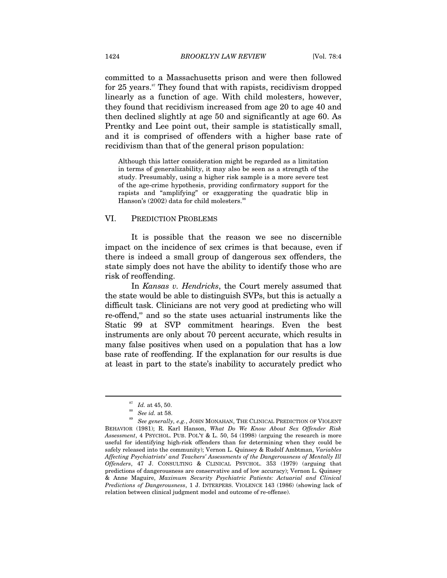committed to a Massachusetts prison and were then followed for 25 years.<sup>87</sup> They found that with rapists, recidivism dropped linearly as a function of age. With child molesters, however, they found that recidivism increased from age 20 to age 40 and then declined slightly at age 50 and significantly at age 60. As Prentky and Lee point out, their sample is statistically small, and it is comprised of offenders with a higher base rate of recidivism than that of the general prison population:

Although this latter consideration might be regarded as a limitation in terms of generalizability, it may also be seen as a strength of the study. Presumably, using a higher risk sample is a more severe test of the age-crime hypothesis, providing confirmatory support for the rapists and "amplifying" or exaggerating the quadratic blip in Hanson's  $(2002)$  data for child molesters.<sup>88</sup>

#### VI. PREDICTION PROBLEMS

It is possible that the reason we see no discernible impact on the incidence of sex crimes is that because, even if there is indeed a small group of dangerous sex offenders, the state simply does not have the ability to identify those who are risk of reoffending.

In *Kansas v. Hendricks*, the Court merely assumed that the state would be able to distinguish SVPs, but this is actually a difficult task. Clinicians are not very good at predicting who will re-offend,<sup>89</sup> and so the state uses actuarial instruments like the Static 99 at SVP commitment hearings. Even the best instruments are only about 70 percent accurate, which results in many false positives when used on a population that has a low base rate of reoffending. If the explanation for our results is due at least in part to the state's inability to accurately predict who

<sup>&</sup>lt;sup>87</sup> Id. at 45, 50.<br><sup>88</sup> *See id.* at 58.<br><sup>89</sup> *See generally, e.g.*, JOHN MONAHAN, THE CLINICAL PREDICTION OF VIOLENT BEHAVIOR (1981); R. Karl Hanson, *What Do We Know About Sex Offender Risk Assessment*, 4 PSYCHOL. PUB. POL'Y & L. 50, 54 (1998) (arguing the research is more useful for identifying high-risk offenders than for determining when they could be safely released into the community); Vernon L. Quinsey & Rudolf Ambtman, *Variables Affecting Psychiatrists' and Teachers' Assessments of the Dangerousness of Mentally Ill Offenders*, 47 J. CONSULTING & CLINICAL PSYCHOL. 353 (1979) (arguing that predictions of dangerousness are conservative and of low accuracy); Vernon L. Quinsey & Anne Maguire, *Maximum Security Psychiatric Patients: Actuarial and Clinical Predictions of Dangerousness*, 1 J. INTERPERS. VIOLENCE 143 (1986) (showing lack of relation between clinical judgment model and outcome of re-offense).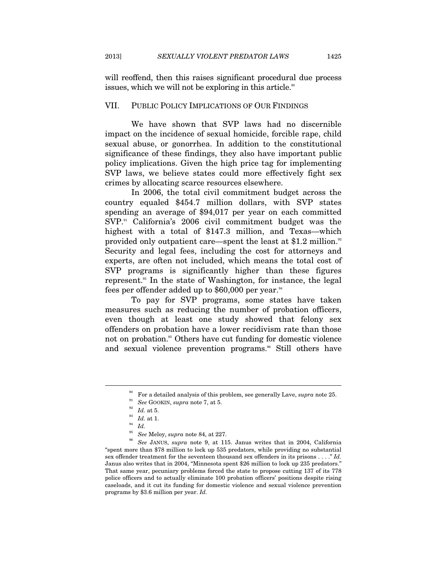will reoffend, then this raises significant procedural due process issues, which we will not be exploring in this article.<sup>90</sup>

#### VII. PUBLIC POLICY IMPLICATIONS OF OUR FINDINGS

We have shown that SVP laws had no discernible impact on the incidence of sexual homicide, forcible rape, child sexual abuse, or gonorrhea. In addition to the constitutional significance of these findings, they also have important public policy implications. Given the high price tag for implementing SVP laws, we believe states could more effectively fight sex crimes by allocating scarce resources elsewhere.

In 2006, the total civil commitment budget across the country equaled \$454.7 million dollars, with SVP states spending an average of \$94,017 per year on each committed SVP.91 California's 2006 civil commitment budget was the highest with a total of \$147.3 million, and Texas—which provided only outpatient care—spent the least at \$1.2 million.<sup>92</sup> Security and legal fees, including the cost for attorneys and experts, are often not included, which means the total cost of SVP programs is significantly higher than these figures represent.93 In the state of Washington, for instance, the legal fees per offender added up to  $$60,000$  per year.<sup>94</sup>

To pay for SVP programs, some states have taken measures such as reducing the number of probation officers, even though at least one study showed that felony sex offenders on probation have a lower recidivism rate than those not on probation.<sup>95</sup> Others have cut funding for domestic violence and sexual violence prevention programs.<sup>86</sup> Still others have

<sup>90</sup> For a detailed analysis of this problem, see generally Lave, *supra* note 25. 91 *See* GOOKIN, *supra* note 7, at 5. 92 *Id.* at 5. 93 *Id.* at 1. 94 *Id.* 

<sup>95</sup> *See* Meloy, *supra* note 84, at 227. 96 *See* JANUS, *supra* note 9, at 115. Janus writes that in 2004, California "spent more than \$78 million to lock up 535 predators, while providing no substantial sex offender treatment for the seventeen thousand sex offenders in its prisons . . . ." *Id.* Janus also writes that in 2004, "Minnesota spent \$26 million to lock up 235 predators." That same year, pecuniary problems forced the state to propose cutting 137 of its 778 police officers and to actually eliminate 100 probation officers' positions despite rising caseloads, and it cut its funding for domestic violence and sexual violence prevention programs by \$3.6 million per year. *Id.*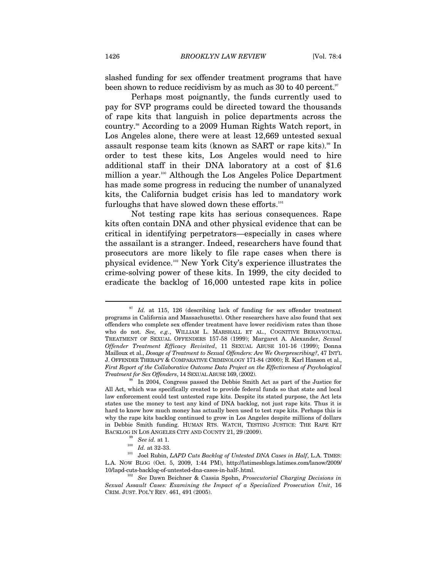slashed funding for sex offender treatment programs that have been shown to reduce recidivism by as much as  $30$  to  $40$  percent.<sup>97</sup>

Perhaps most poignantly, the funds currently used to pay for SVP programs could be directed toward the thousands of rape kits that languish in police departments across the country.98 According to a 2009 Human Rights Watch report, in Los Angeles alone, there were at least 12,669 untested sexual assault response team kits (known as SART or rape kits).<sup>99</sup> In order to test these kits, Los Angeles would need to hire additional staff in their DNA laboratory at a cost of \$1.6 million a year.<sup>100</sup> Although the Los Angeles Police Department has made some progress in reducing the number of unanalyzed kits, the California budget crisis has led to mandatory work furloughs that have slowed down these efforts.<sup>101</sup>

Not testing rape kits has serious consequences. Rape kits often contain DNA and other physical evidence that can be critical in identifying perpetrators—especially in cases where the assailant is a stranger. Indeed, researchers have found that prosecutors are more likely to file rape cases when there is physical evidence.102 New York City's experience illustrates the crime-solving power of these kits. In 1999, the city decided to eradicate the backlog of 16,000 untested rape kits in police

<sup>&</sup>lt;sup>97</sup> Id. at 115, 126 (describing lack of funding for sex offender treatment programs in California and Massachusetts). Other researchers have also found that sex offenders who complete sex offender treatment have lower recidivism rates than those who do not. *See, e.g.*, WILLIAM L. MARSHALL ET AL., COGNITIVE BEHAVIOURAL TREATMENT OF SEXUAL OFFENDERS 157-58 (1999); Margaret A. Alexander, *Sexual Offender Treatment Efficacy Revisited*, 11 SEXUAL ABUSE 101-16 (1999); Donna Mailloux et al., *Dosage of Treatment to Sexual Offenders: Are We Overprescribing?*, 47 INT'L J. OFFENDER THERAPY & COMPARATIVE CRIMINOLOGY 171-84 (2000); R. Karl Hanson et al., *First Report of the Collaborative Outcome Data Project on the Effectiveness of Psychological Treatment for Sex Offenders*, 14 SEXUAL ABUSE 169, (2002).<br><sup>98</sup> In 2004, Congress passed the Debbie Smith Act as part of the Justice for

All Act, which was specifically created to provide federal funds so that state and local law enforcement could test untested rape kits. Despite its stated purpose, the Act lets states use the money to test any kind of DNA backlog, not just rape kits. Thus it is hard to know how much money has actually been used to test rape kits. Perhaps this is why the rape kits backlog continued to grow in Los Angeles despite millions of dollars in Debbie Smith funding. HUMAN RTS. WATCH, TESTING JUSTICE: THE RAPE KIT

BACKLOG IN LOS ANGELES CITY AND COUNTY 21, 29 (2009).<br><sup>99</sup> See *id.* at 1.<br><sup>100</sup> *Id.* at 32-33.<br><sup>101</sup> Joel Rubin, *LAPD Cuts Backlog of Untested DNA Cases in Half*, L.A. TIMES: L.A. NOW BLOG (Oct. 5, 2009, 1:44 PM), http://latimesblogs.latimes.com/lanow/2009/ 10/lapd-cuts-backlog-of-untested-dna-cases-in-half-.html. 102 *See* Dawn Beichner & Cassia Spohn, *Prosecutorial Charging Decisions in* 

*Sexual Assault Cases: Examining the Impact of a Specialized Prosecution Unit*, 16 CRIM. JUST. POL'Y REV. 461, 491 (2005).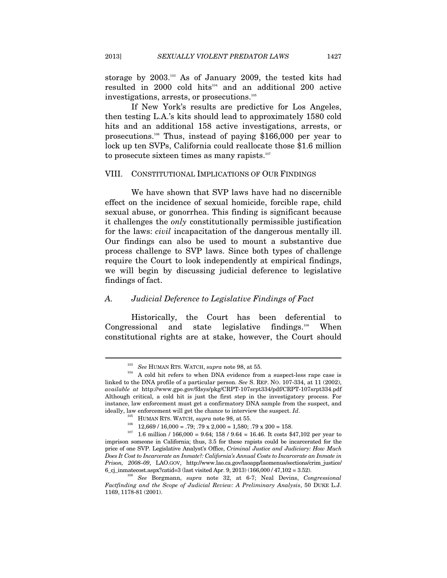storage by 2003.103 As of January 2009, the tested kits had resulted in 2000 cold hits<sup>104</sup> and an additional 200 active investigations, arrests, or prosecutions.<sup>105</sup>

If New York's results are predictive for Los Angeles, then testing L.A.'s kits should lead to approximately 1580 cold hits and an additional 158 active investigations, arrests, or prosecutions.106 Thus, instead of paying \$166,000 per year to lock up ten SVPs, California could reallocate those \$1.6 million to prosecute sixteen times as many rapists.<sup>107</sup>

## VIII. CONSTITUTIONAL IMPLICATIONS OF OUR FINDINGS

We have shown that SVP laws have had no discernible effect on the incidence of sexual homicide, forcible rape, child sexual abuse, or gonorrhea. This finding is significant because it challenges the *only* constitutionally permissible justification for the laws: *civil* incapacitation of the dangerous mentally ill. Our findings can also be used to mount a substantive due process challenge to SVP laws. Since both types of challenge require the Court to look independently at empirical findings, we will begin by discussing judicial deference to legislative findings of fact.

## *A. Judicial Deference to Legislative Findings of Fact*

Historically, the Court has been deferential to Congressional and state legislative findings.<sup>108</sup> When constitutional rights are at stake, however, the Court should

<sup>&</sup>lt;sup>103</sup> See HUMAN RTS. WATCH, *supra* note 98, at 55.<br><sup>104</sup> A cold hit refers to when DNA evidence from a suspect-less rape case is linked to the DNA profile of a particular person. *See* S. REP. NO. 107-334, at 11 (2002), *available at* http://www.gpo.gov/fdsys/pkg/CRPT-107srpt334/pdf/CRPT-107srpt334.pdf Although critical, a cold hit is just the first step in the investigatory process. For instance, law enforcement must get a confirmatory DNA sample from the suspect, and ideally, law enforcement will get the chance to interview the suspect. *Id*.

<sup>&</sup>lt;sup>105</sup> HUMAN RTS. WATCH, *supra* note 98, at 55.<br><sup>106</sup> 12,669 / 16,000 = .79; .79 x 2,000 = 1,580; .79 x 200 = 158.<br><sup>107</sup> 1.6 million / 166,000 = 9.64; 158 / 9.64 = 16.46. It costs \$47,102 per year to imprison someone in California; thus, 3.5 for these rapists could be incarcerated for the price of one SVP. Legislative Analyst's Office, *Criminal Justice and Judiciary: How Much Does It Cost to Incarcerate an Inmate?: California's Annual Costs to Incarcerate an Inmate in Prison, 2008–09*, LAO.GOV, http://www.lao.ca.gov/laoapp/laomenus/sections/crim\_justice/ 6\_cj\_inmatecost.aspx?catid=3 (last visited Apr. 9, 2013) (166,000 / 47,102 = 3.52). 108 *See* Borgmann, *supra* note 32, at 6-7; Neal Devins, *Congressional* 

*Factfinding and the Scope of Judicial Review: A Preliminary Analysis*, 50 DUKE L.J. 1169, 1178-81 (2001).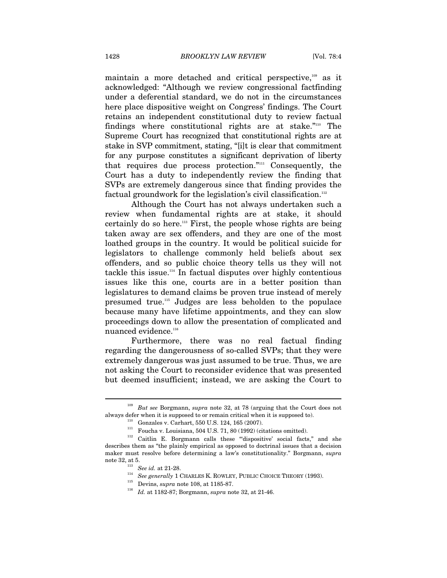maintain a more detached and critical perspective,<sup>109</sup> as it acknowledged: "Although we review congressional factfinding under a deferential standard, we do not in the circumstances here place dispositive weight on Congress' findings. The Court retains an independent constitutional duty to review factual findings where constitutional rights are at stake."110 The Supreme Court has recognized that constitutional rights are at stake in SVP commitment, stating, "[i]t is clear that commitment for any purpose constitutes a significant deprivation of liberty that requires due process protection."111 Consequently, the Court has a duty to independently review the finding that SVPs are extremely dangerous since that finding provides the factual groundwork for the legislation's civil classification.<sup>112</sup>

Although the Court has not always undertaken such a review when fundamental rights are at stake, it should certainly do so here.<sup>113</sup> First, the people whose rights are being taken away are sex offenders, and they are one of the most loathed groups in the country. It would be political suicide for legislators to challenge commonly held beliefs about sex offenders, and so public choice theory tells us they will not tackle this issue.<sup>114</sup> In factual disputes over highly contentious issues like this one, courts are in a better position than legislatures to demand claims be proven true instead of merely presumed true.115 Judges are less beholden to the populace because many have lifetime appointments, and they can slow proceedings down to allow the presentation of complicated and nuanced evidence.<sup>116</sup>

Furthermore, there was no real factual finding regarding the dangerousness of so-called SVPs; that they were extremely dangerous was just assumed to be true. Thus, we are not asking the Court to reconsider evidence that was presented but deemed insufficient; instead, we are asking the Court to

<sup>109</sup> *But see* Borgmann, *supra* note 32, at 78 (arguing that the Court does not

<sup>%</sup> always defer when it is supposed to or remain critical when it is supposed to).<br>  $^{110}$  Gonzales v. Carhart, 550 U.S. 124, 165 (2007).<br>  $^{111}$  Foucha v. Louisiana, 504 U.S. 71, 80 (1992) (citations omitted).<br>  $^{112}$  describes them as "the plainly empirical as opposed to doctrinal issues that a decision maker must resolve before determining a law's constitutionality." Borgmann, *supra*

note 32, at 5.<br>  $^{113}$  See id. at 21-28.<br>  $^{114}$  See generally 1 CHARLES K. ROWLEY, PUBLIC CHOICE THEORY (1993).<br>  $^{115}$  Devins, *supra* note 108, at 1185-87.<br>  $^{116}$  Id. at 1182-87; Borgmann, *supra* note 32, at 21-4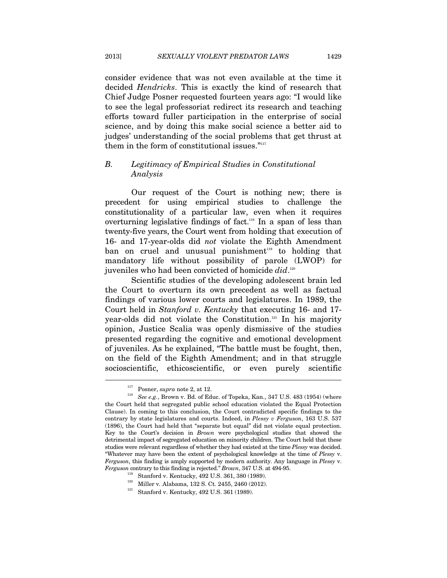consider evidence that was not even available at the time it decided *Hendricks*. This is exactly the kind of research that Chief Judge Posner requested fourteen years ago: "I would like to see the legal professoriat redirect its research and teaching efforts toward fuller participation in the enterprise of social science, and by doing this make social science a better aid to judges' understanding of the social problems that get thrust at them in the form of constitutional issues."<sup>117</sup>

# *B. Legitimacy of Empirical Studies in Constitutional Analysis*

Our request of the Court is nothing new; there is precedent for using empirical studies to challenge the constitutionality of a particular law, even when it requires overturning legislative findings of fact.<sup>118</sup> In a span of less than twenty-five years, the Court went from holding that execution of 16- and 17-year-olds did *not* violate the Eighth Amendment ban on cruel and unusual punishment<sup>119</sup> to holding that mandatory life without possibility of parole (LWOP) for juveniles who had been convicted of homicide *did*. 120

Scientific studies of the developing adolescent brain led the Court to overturn its own precedent as well as factual findings of various lower courts and legislatures. In 1989, the Court held in *Stanford v. Kentucky* that executing 16- and 17 year-olds did not violate the Constitution.121 In his majority opinion, Justice Scalia was openly dismissive of the studies presented regarding the cognitive and emotional development of juveniles. As he explained, "The battle must be fought, then, on the field of the Eighth Amendment; and in that struggle socioscientific, ethicoscientific, or even purely scientific

<sup>&</sup>lt;sup>117</sup> Posner, *supra* note 2, at 12.<br><sup>118</sup> See e.g., Brown v. Bd. of Educ. of Topeka, Kan., 347 U.S. 483 (1954) (where the Court held that segregated public school education violated the Equal Protection Clause). In coming to this conclusion, the Court contradicted specific findings to the contrary by state legislatures and courts. Indeed, in *Plessy v Ferguson*, 163 U.S. 537 (1896), the Court had held that "separate but equal" did not violate equal protection. Key to the Court's decision in *Brown* were psychological studies that showed the detrimental impact of segregated education on minority children. The Court held that these studies were relevant regardless of whether they had existed at the time *Plessy* was decided. "Whatever may have been the extent of psychological knowledge at the time of *Plessy* v. *Ferguson*, this finding is amply supported by modern authority. Any language in *Plessy* v.  $\begin{tabular}{ll} \textit{Ferguson} \textit{contrary to this finding is rejected."} \textit{Brown, 347 U.S. at 494-95.} \\ \textit{119} & \text{Stanford v. Kentucky, 492 U.S. 361, 380 (1989).} \\ \textit{120} & \text{Miller v. Alabama, 132 S. Ct. 2455, 2460 (2012).} \\ \textit{121} & \text{Stanford v. Kentucky, 492 U.S. 361 (1989).} \end{tabular}$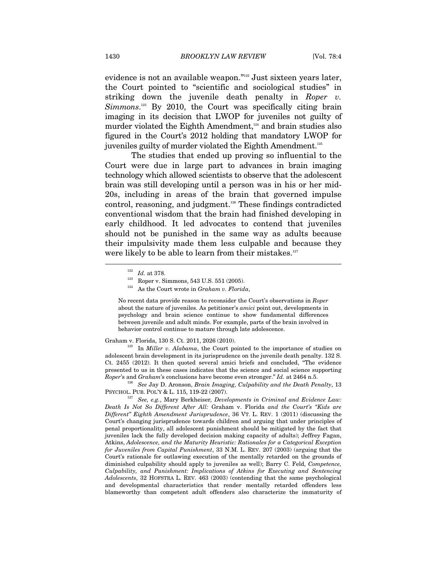evidence is not an available weapon."122 Just sixteen years later, the Court pointed to "scientific and sociological studies" in striking down the juvenile death penalty in *Roper v. Simmons*. 123 By 2010, the Court was specifically citing brain imaging in its decision that LWOP for juveniles not guilty of murder violated the Eighth Amendment,<sup>124</sup> and brain studies also figured in the Court's 2012 holding that mandatory LWOP for juveniles guilty of murder violated the Eighth Amendment.<sup>125</sup>

The studies that ended up proving so influential to the Court were due in large part to advances in brain imaging technology which allowed scientists to observe that the adolescent brain was still developing until a person was in his or her mid-20s, including in areas of the brain that governed impulse control, reasoning, and judgment.<sup>126</sup> These findings contradicted conventional wisdom that the brain had finished developing in early childhood. It led advocates to contend that juveniles should not be punished in the same way as adults because their impulsivity made them less culpable and because they were likely to be able to learn from their mistakes.<sup>127</sup>  $\overline{a}$ 

No recent data provide reason to reconsider the Court's observations in *Roper* about the nature of juveniles. As petitioner's *amici* point out, developments in psychology and brain science continue to show fundamental differences between juvenile and adult minds. For example, parts of the brain involved in behavior control continue to mature through late adolescence.

Graham v. Florida, 130 S. Ct. 2011, 2026 (2010).<br><sup>125</sup> In *Miller v. Alabama*, the Court pointed to the importance of studies on adolescent brain development in its jurisprudence on the juvenile death penalty. 132 S. Ct. 2455 (2012). It then quoted several amici briefs and concluded, "The evidence presented to us in these cases indicates that the science and social science supporting

*Roper*'s and *Graham*'s conclusions have become even stronger." *Id.* at 2464 n.5. <sup>126</sup> See Jay D. Aronson, *Brain Imaging, Culpability and the Death Penalty*, 13 PSYCHOL. PUB. POL'Y & L. 115, 119-22 (2007).

<sup>127</sup> See, e.g., Mary Berkheiser, Developments in Criminal and Evidence Law: *Death Is Not So Different After All:* Graham v. Florida *and the Court's "Kids are Different" Eighth Amendment Jurisprudence*, 36 VT. L. REV. 1 (2011) (discussing the Court's changing jurisprudence towards children and arguing that under principles of penal proportionality, all adolescent punishment should be mitigated by the fact that juveniles lack the fully developed decision making capacity of adults); Jeffrey Fagan, Atkins, *Adolescence, and the Maturity Heuristic: Rationales for a Categorical Exception for Juveniles from Capital Punishment*, 33 N.M. L. REV. 207 (2003) (arguing that the Court's rationale for outlawing execution of the mentally retarded on the grounds of diminished culpability should apply to juveniles as well); Barry C. Feld, *Competence, Culpability, and Punishment: Implications of Atkins for Executing and Sentencing Adolescents*, 32 HOFSTRA L. REV. 463 (2003) (contending that the same psychological and developmental characteristics that render mentally retarded offenders less blameworthy than competent adult offenders also characterize the immaturity of

<sup>&</sup>lt;sup>122</sup> *Id.* at 378.<br><sup>123</sup> Roper v. Simmons, 543 U.S. 551 (2005).<br><sup>124</sup> As the Court wrote in *Graham v. Florida*,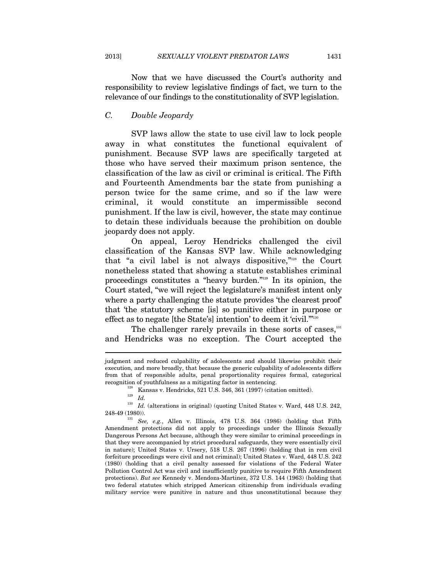Now that we have discussed the Court's authority and responsibility to review legislative findings of fact, we turn to the relevance of our findings to the constitutionality of SVP legislation.

#### *C. Double Jeopardy*

SVP laws allow the state to use civil law to lock people away in what constitutes the functional equivalent of punishment. Because SVP laws are specifically targeted at those who have served their maximum prison sentence, the classification of the law as civil or criminal is critical. The Fifth and Fourteenth Amendments bar the state from punishing a person twice for the same crime, and so if the law were criminal, it would constitute an impermissible second punishment. If the law is civil, however, the state may continue to detain these individuals because the prohibition on double jeopardy does not apply.

On appeal, Leroy Hendricks challenged the civil classification of the Kansas SVP law. While acknowledging that "a civil label is not always dispositive,"128 the Court nonetheless stated that showing a statute establishes criminal proceedings constitutes a "heavy burden."129 In its opinion, the Court stated, "we will reject the legislature's manifest intent only where a party challenging the statute provides 'the clearest proof' that 'the statutory scheme [is] so punitive either in purpose or effect as to negate [the State's] intention' to deem it 'civil."<sup>130</sup>

The challenger rarely prevails in these sorts of cases, $131$ and Hendricks was no exception. The Court accepted the

judgment and reduced culpability of adolescents and should likewise prohibit their execution, and more broadly, that because the generic culpability of adolescents differs from that of responsible adults, penal proportionality requires formal, categorical recognition of youthfulness as a mitigating factor in sentencing.<br><sup>128</sup> Kansas v. Hendricks, 521 U.S. 346, 361 (1997) (citation omitted).<br><sup>129</sup> *Id.* 

 $^{130}$   $\emph{Id.}$  (alterations in original) (quoting United States v. Ward, 448 U.S. 242, 248-49 (1980)).

<sup>&</sup>lt;sup>131</sup> See, e.g., Allen v. Illinois, 478 U.S. 364 (1986) (holding that Fifth Amendment protections did not apply to proceedings under the Illinois Sexually Dangerous Persons Act because, although they were similar to criminal proceedings in that they were accompanied by strict procedural safeguards, they were essentially civil in nature); United States v. Ursery, 518 U.S. 267 (1996) (holding that in rem civil forfeiture proceedings were civil and not criminal); United States v. Ward, 448 U.S. 242 (1980) (holding that a civil penalty assessed for violations of the Federal Water Pollution Control Act was civil and insufficiently punitive to require Fifth Amendment protections). *But see* Kennedy v. Mendoza-Martinez, 372 U.S. 144 (1963) (holding that two federal statutes which stripped American citizenship from individuals evading military service were punitive in nature and thus unconstitutional because they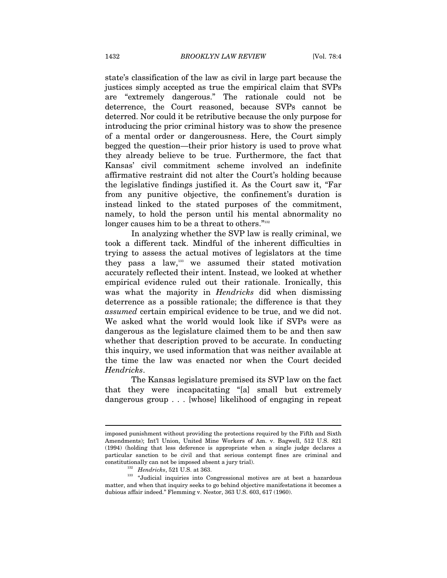state's classification of the law as civil in large part because the justices simply accepted as true the empirical claim that SVPs are "extremely dangerous." The rationale could not be deterrence, the Court reasoned, because SVPs cannot be deterred. Nor could it be retributive because the only purpose for introducing the prior criminal history was to show the presence of a mental order or dangerousness. Here, the Court simply begged the question—their prior history is used to prove what they already believe to be true. Furthermore, the fact that Kansas' civil commitment scheme involved an indefinite affirmative restraint did not alter the Court's holding because the legislative findings justified it. As the Court saw it, "Far from any punitive objective, the confinement's duration is instead linked to the stated purposes of the commitment, namely, to hold the person until his mental abnormality no longer causes him to be a threat to others."<sup>132</sup>

In analyzing whether the SVP law is really criminal, we took a different tack. Mindful of the inherent difficulties in trying to assess the actual motives of legislators at the time they pass a law,<sup>133</sup> we assumed their stated motivation accurately reflected their intent. Instead, we looked at whether empirical evidence ruled out their rationale. Ironically, this was what the majority in *Hendricks* did when dismissing deterrence as a possible rationale; the difference is that they *assumed* certain empirical evidence to be true, and we did not. We asked what the world would look like if SVPs were as dangerous as the legislature claimed them to be and then saw whether that description proved to be accurate. In conducting this inquiry, we used information that was neither available at the time the law was enacted nor when the Court decided *Hendricks*.

The Kansas legislature premised its SVP law on the fact that they were incapacitating "[a] small but extremely dangerous group . . . [whose] likelihood of engaging in repeat

imposed punishment without providing the protections required by the Fifth and Sixth Amendments); Int'l Union, United Mine Workers of Am. v. Bagwell, 512 U.S. 821 (1994) (holding that less deference is appropriate when a single judge declares a particular sanction to be civil and that serious contempt fines are criminal and

<sup>%</sup>constitutionally can not be imposed absent a jury trial). The  $132$  Hendricks, 521 U.S. at 363.  $\cdot$  Judicial inquiries into Congressional motives are at best a hazardous matter, and when that inquiry seeks to go behind objective manifestations it becomes a dubious affair indeed." Flemming v. Nestor, 363 U.S. 603, 617 (1960).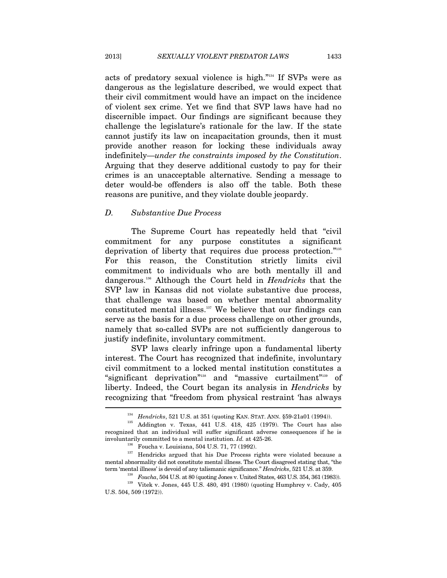acts of predatory sexual violence is high."134 If SVPs were as dangerous as the legislature described, we would expect that their civil commitment would have an impact on the incidence of violent sex crime. Yet we find that SVP laws have had no discernible impact. Our findings are significant because they challenge the legislature's rationale for the law. If the state cannot justify its law on incapacitation grounds, then it must provide another reason for locking these individuals away indefinitely—*under the constraints imposed by the Constitution*. Arguing that they deserve additional custody to pay for their crimes is an unacceptable alternative. Sending a message to deter would-be offenders is also off the table. Both these reasons are punitive, and they violate double jeopardy.

#### *D. Substantive Due Process*

The Supreme Court has repeatedly held that "civil commitment for any purpose constitutes a significant deprivation of liberty that requires due process protection."135 For this reason, the Constitution strictly limits civil commitment to individuals who are both mentally ill and dangerous.136 Although the Court held in *Hendricks* that the SVP law in Kansas did not violate substantive due process, that challenge was based on whether mental abnormality constituted mental illness.137 We believe that our findings can serve as the basis for a due process challenge on other grounds, namely that so-called SVPs are not sufficiently dangerous to justify indefinite, involuntary commitment.

SVP laws clearly infringe upon a fundamental liberty interest. The Court has recognized that indefinite, involuntary civil commitment to a locked mental institution constitutes a "significant deprivation"138 and "massive curtailment"139 of liberty. Indeed, the Court began its analysis in *Hendricks* by recognizing that "freedom from physical restraint 'has always  $\overline{a}$ 

<sup>134</sup> *Hendricks*, 521 U.S. at 351 (quoting KAN. STAT. ANN. §59-21a01 (1994)). 135 Addington v. Texas, 441 U.S. 418, 425 (1979). The Court has also recognized that an individual will suffer significant adverse consequences if he is involuntarily committed to a mental institution. *Id.* at 425-26.<br><sup>136</sup> Foucha v. Louisiana, 504 U.S. 71, 77 (1992).<br><sup>137</sup> Hendricks argued that his Due Process rights were violated because a

mental abnormality did not constitute mental illness. The Court disagreed stating that, "the term 'mental illness' is devoid of any talismanic significance." Hendricks, 521 U.S. at 359.

<sup>&</sup>lt;sup>138</sup> *Foucha*, 504 U.S. at 80 (quoting Jones v. United States, 463 U.S. 354, 361 (1983)).<br><sup>139</sup> Vitek v. Jones, 445 U.S. 480, 491 (1980) (quoting Humphrey v. Cady, 405

U.S. 504, 509 (1972)).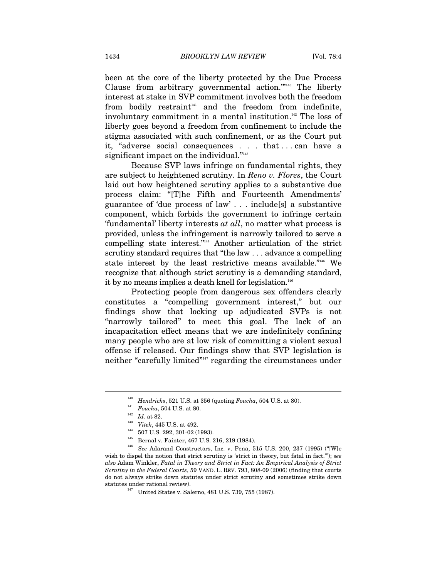been at the core of the liberty protected by the Due Process Clause from arbitrary governmental action."<sup>140</sup> The liberty interest at stake in SVP commitment involves both the freedom from bodily restraint $141$  and the freedom from indefinite, involuntary commitment in a mental institution.<sup>142</sup> The loss of liberty goes beyond a freedom from confinement to include the stigma associated with such confinement, or as the Court put it, "adverse social consequences . . . that . . . can have a significant impact on the individual."<sup>143</sup>

Because SVP laws infringe on fundamental rights, they are subject to heightened scrutiny. In *Reno v. Flores*, the Court laid out how heightened scrutiny applies to a substantive due process claim: "[T]he Fifth and Fourteenth Amendments' guarantee of 'due process of law' . . . include[s] a substantive component, which forbids the government to infringe certain 'fundamental' liberty interests *at all*, no matter what process is provided, unless the infringement is narrowly tailored to serve a compelling state interest."144 Another articulation of the strict scrutiny standard requires that "the law . . . advance a compelling state interest by the least restrictive means available."145 We recognize that although strict scrutiny is a demanding standard, it by no means implies a death knell for legislation.<sup>146</sup>

Protecting people from dangerous sex offenders clearly constitutes a "compelling government interest," but our findings show that locking up adjudicated SVPs is not "narrowly tailored" to meet this goal. The lack of an incapacitation effect means that we are indefinitely confining many people who are at low risk of committing a violent sexual offense if released. Our findings show that SVP legislation is neither "carefully limited"147 regarding the circumstances under

<sup>&</sup>lt;sup>140</sup> *Hendricks*, 521 U.S. at 356 (quoting *Foucha*, 504 U.S. at 80).<br>
<sup>141</sup> *Foucha*, 504 U.S. at 80.<br>
<sup>142</sup> *Id.* at 82.<br>
<sup>142</sup> 507 U.S. 292, 301-02 (1993).<br>
<sup>145</sup> 507 U.S. 292, 301-02 (1993).<br>
<sup>145</sup> *See* Adarand Cons wish to dispel the notion that strict scrutiny is 'strict in theory, but fatal in fact.'"); *see also* Adam Winkler, *Fatal in Theory and Strict in Fact: An Empirical Analysis of Strict Scrutiny in the Federal Courts*, 59 VAND. L. REV. 793, 808-09 (2006) (finding that courts do not always strike down statutes under strict scrutiny and sometimes strike down statutes under rational review).  $147$  United States v. Salerno, 481 U.S. 739, 755 (1987).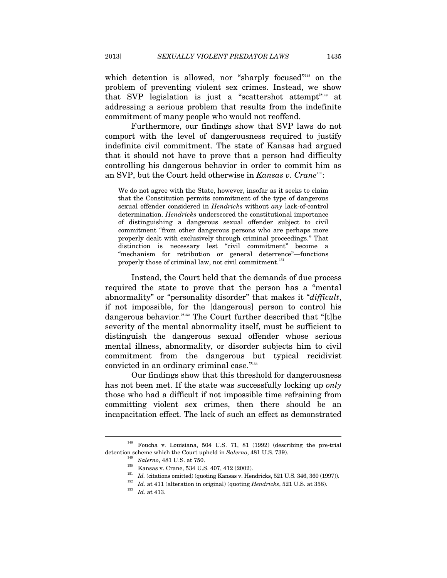which detention is allowed, nor "sharply focused"<sup>148</sup> on the problem of preventing violent sex crimes. Instead, we show that SVP legislation is just a "scattershot attempt"149 at addressing a serious problem that results from the indefinite commitment of many people who would not reoffend.

Furthermore, our findings show that SVP laws do not comport with the level of dangerousness required to justify indefinite civil commitment. The state of Kansas had argued that it should not have to prove that a person had difficulty controlling his dangerous behavior in order to commit him as an SVP, but the Court held otherwise in *Kansas v. Crane*150:

We do not agree with the State, however, insofar as it seeks to claim that the Constitution permits commitment of the type of dangerous sexual offender considered in *Hendricks* without *any* lack-of-control determination. *Hendricks* underscored the constitutional importance of distinguishing a dangerous sexual offender subject to civil commitment "from other dangerous persons who are perhaps more properly dealt with exclusively through criminal proceedings." That distinction is necessary lest "civil commitment" become a "mechanism for retribution or general deterrence"—functions properly those of criminal law, not civil commitment.<sup>151</sup>

Instead, the Court held that the demands of due process required the state to prove that the person has a "mental abnormality" or "personality disorder" that makes it "*difficult*, if not impossible, for the [dangerous] person to control his dangerous behavior."152 The Court further described that "[t]he severity of the mental abnormality itself, must be sufficient to distinguish the dangerous sexual offender whose serious mental illness, abnormality, or disorder subjects him to civil commitment from the dangerous but typical recidivist convicted in an ordinary criminal case."<sup>153</sup>

Our findings show that this threshold for dangerousness has not been met. If the state was successfully locking up *only* those who had a difficult if not impossible time refraining from committing violent sex crimes, then there should be an incapacitation effect. The lack of such an effect as demonstrated

<sup>148</sup> Foucha v. Louisiana, 504 U.S. 71, 81 (1992) (describing the pre-trial detention scheme which the Court upheld in Salerno, 481 U.S. 739).<br>  $^{149}$  Salerno, 481 U.S. at 750.<br>
Kansas v. Crane, 534 U.S. 407, 412 (2002).<br>  $1^{151}$  *Id.* (citations omitted) (quoting Kansas v. Hendricks, 521 U.S.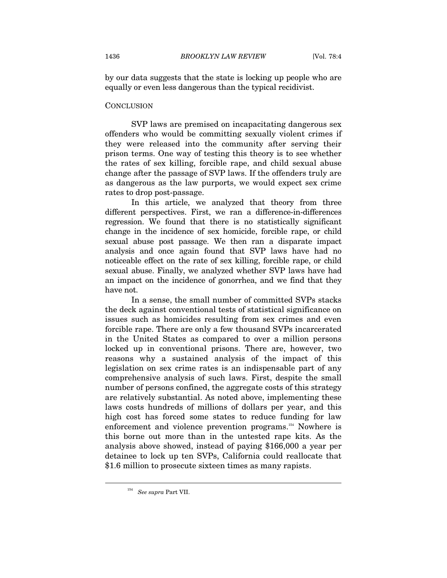by our data suggests that the state is locking up people who are equally or even less dangerous than the typical recidivist.

#### **CONCLUSION**

SVP laws are premised on incapacitating dangerous sex offenders who would be committing sexually violent crimes if they were released into the community after serving their prison terms. One way of testing this theory is to see whether the rates of sex killing, forcible rape, and child sexual abuse change after the passage of SVP laws. If the offenders truly are as dangerous as the law purports, we would expect sex crime rates to drop post-passage.

In this article, we analyzed that theory from three different perspectives. First, we ran a difference-in-differences regression. We found that there is no statistically significant change in the incidence of sex homicide, forcible rape, or child sexual abuse post passage. We then ran a disparate impact analysis and once again found that SVP laws have had no noticeable effect on the rate of sex killing, forcible rape, or child sexual abuse. Finally, we analyzed whether SVP laws have had an impact on the incidence of gonorrhea, and we find that they have not.

In a sense, the small number of committed SVPs stacks the deck against conventional tests of statistical significance on issues such as homicides resulting from sex crimes and even forcible rape. There are only a few thousand SVPs incarcerated in the United States as compared to over a million persons locked up in conventional prisons. There are, however, two reasons why a sustained analysis of the impact of this legislation on sex crime rates is an indispensable part of any comprehensive analysis of such laws. First, despite the small number of persons confined, the aggregate costs of this strategy are relatively substantial. As noted above, implementing these laws costs hundreds of millions of dollars per year, and this high cost has forced some states to reduce funding for law enforcement and violence prevention programs.154 Nowhere is this borne out more than in the untested rape kits. As the analysis above showed, instead of paying \$166,000 a year per detainee to lock up ten SVPs, California could reallocate that \$1.6 million to prosecute sixteen times as many rapists.

<sup>154</sup> *See supra* Part VII.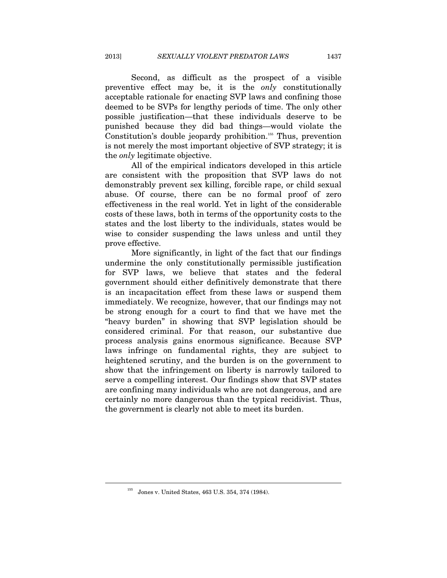Second, as difficult as the prospect of a visible preventive effect may be, it is the *only* constitutionally acceptable rationale for enacting SVP laws and confining those deemed to be SVPs for lengthy periods of time. The only other possible justification—that these individuals deserve to be punished because they did bad things—would violate the Constitution's double jeopardy prohibition.<sup>155</sup> Thus, prevention is not merely the most important objective of SVP strategy; it is the *only* legitimate objective.

All of the empirical indicators developed in this article are consistent with the proposition that SVP laws do not demonstrably prevent sex killing, forcible rape, or child sexual abuse. Of course, there can be no formal proof of zero effectiveness in the real world. Yet in light of the considerable costs of these laws, both in terms of the opportunity costs to the states and the lost liberty to the individuals, states would be wise to consider suspending the laws unless and until they prove effective.

More significantly, in light of the fact that our findings undermine the only constitutionally permissible justification for SVP laws, we believe that states and the federal government should either definitively demonstrate that there is an incapacitation effect from these laws or suspend them immediately. We recognize, however, that our findings may not be strong enough for a court to find that we have met the "heavy burden" in showing that SVP legislation should be considered criminal. For that reason, our substantive due process analysis gains enormous significance. Because SVP laws infringe on fundamental rights, they are subject to heightened scrutiny, and the burden is on the government to show that the infringement on liberty is narrowly tailored to serve a compelling interest. Our findings show that SVP states are confining many individuals who are not dangerous, and are certainly no more dangerous than the typical recidivist. Thus, the government is clearly not able to meet its burden.

<sup>155</sup> Jones v. United States, 463 U.S. 354, 374 (1984).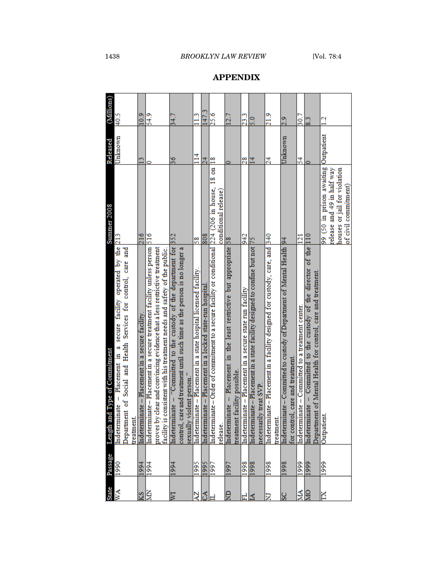| <b>State</b> | Passage      | id Type of Commitment<br>Length ar                                                                                                      | Summer 2008                          | Released       | (Millions)      |
|--------------|--------------|-----------------------------------------------------------------------------------------------------------------------------------------|--------------------------------------|----------------|-----------------|
| ŃМ           | 1990         | Indeterminate - Placement in a secure facility operated by the 213                                                                      |                                      | Unknown        | 40.5            |
|              |              | Department of Social and Health Services for control, care and                                                                          |                                      |                |                 |
|              |              | <b>treatment</b> .                                                                                                                      |                                      |                |                 |
| <b>NIX</b>   | 1994         | nate - Placement in a secure facility<br>Indetermi                                                                                      | 216                                  | $^{13}$        | 10.9            |
|              | 1994         | nate - Placement in a secure treatment facility unless person<br>Indetermi                                                              | 516                                  |                | 54.9            |
|              |              | clear and convincing evidence that a less restrictive treatment<br>proves by                                                            |                                      |                |                 |
|              |              | consistent with his treatment needs and safety of the public.<br>facility is                                                            |                                      |                |                 |
| ≅            | 1994         | Indeterminate - "Committed to the custody of the department for                                                                         | 352                                  | 36             | 34.7            |
|              |              | control, care and treatment until such time as the person is no longer a                                                                |                                      |                |                 |
|              |              | violent person."<br>sexually                                                                                                            |                                      |                |                 |
| ĄZ           | 1995         | nate - Placement in a state hospital licensed facility.<br>Indetermi                                                                    | 58                                   | $\Xi$          | 11.3            |
| చే           | 1995         | nate – Placement in a locked state-run hospital<br>Indetermi                                                                            | 808                                  | 24             | 147.3           |
|              | 1997         | nate-Order of commitment to a secure facility or conditional [224 (206 in house, 18 on<br>Indetermi                                     |                                      | $\frac{8}{18}$ | 25.6            |
|              |              | release.                                                                                                                                | conditional release)                 |                |                 |
| ę            | $\sqrt{997}$ | nate - Placement in the least restrictive but appropriate 58<br>Indetermi                                                               |                                      |                | 12.7            |
|              |              | facility possible.<br>treatment                                                                                                         |                                      |                |                 |
| ะ!≤          | 1998         | nate - Placement in a secure state run facility<br>Indetermi                                                                            | 942                                  | 28             | 23.3            |
|              | 1998         | nate - Placement in a state facility designed to confine but not<br>Indetermi                                                           | 54                                   | $\overline{1}$ | 0.5             |
|              |              | ly treat SVP<br>necessari                                                                                                               |                                      |                |                 |
| Ξ            | 8661         | nate-Placement in a facility designed for custody, care, and <a>[340<br/>Indetermi</a>                                                  |                                      | 24             | 21.9            |
|              |              | treatment                                                                                                                               |                                      |                |                 |
|              | 1998         | nate – Committed to custody of Department of Mental Health 94<br>Indetermi                                                              |                                      | Unknown        | 2.9             |
|              |              | for control, care and treatment.                                                                                                        |                                      |                |                 |
| МA           | 1999         | nate – Committed to a treatment center.<br>Indetermi                                                                                    | $\overline{21}$                      | $\mathcal{Z}$  | 30.7            |
| lg           | 6661         | nate – Committed to the custody of the director of the 110<br>Department of Mental Health for control, care and treatment.<br>Indetermi |                                      |                | 8.3             |
| Ň            | 1999         | Outpatien                                                                                                                               | 99 (50 in prison awaiting Outpatient |                | $\overline{12}$ |
|              |              |                                                                                                                                         | release and 49 in half way           |                |                 |
|              |              |                                                                                                                                         | houses or jail for violation         |                |                 |
|              |              |                                                                                                                                         | of civil commitment)                 |                |                 |

# **APPENDIX**